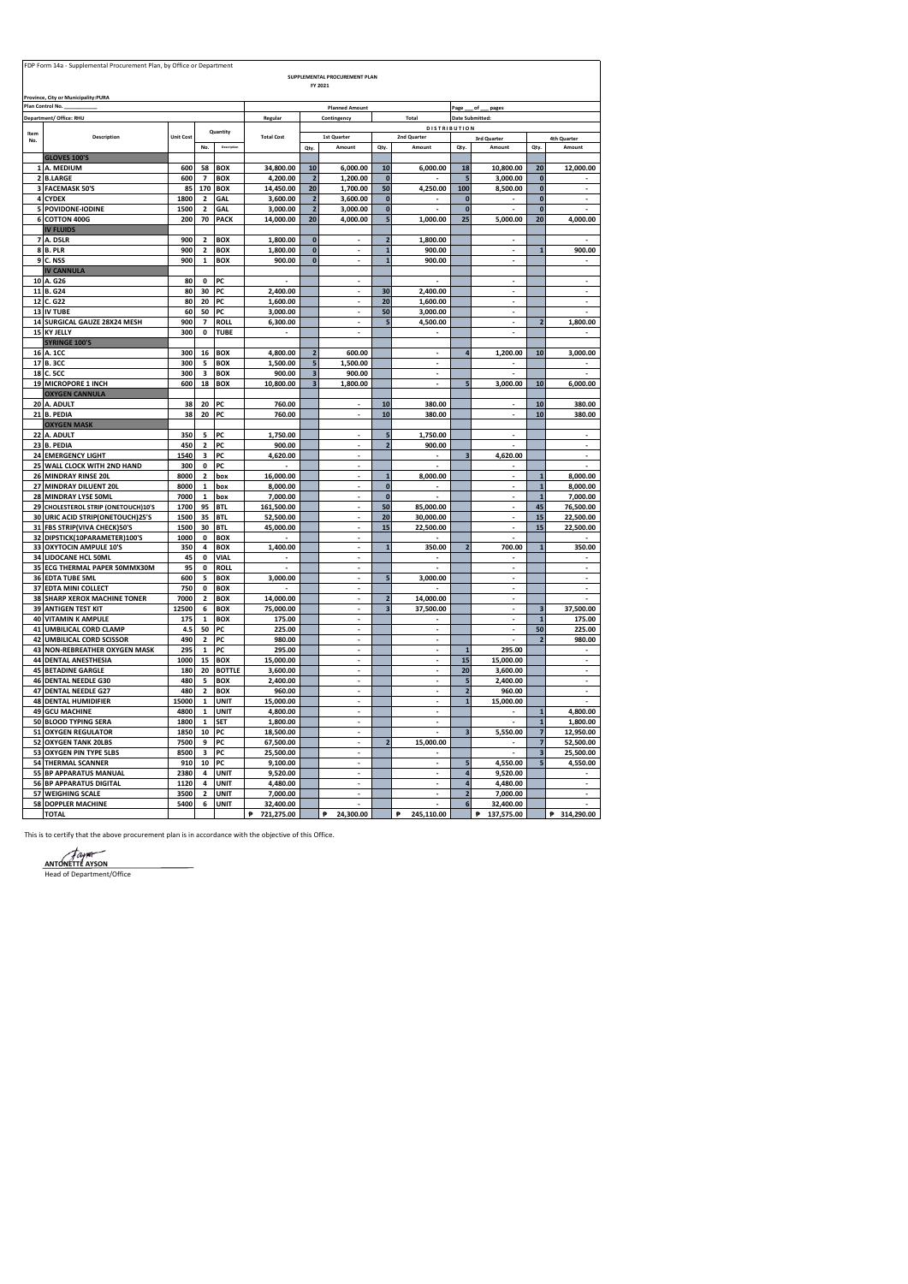|                         | FDP Form 14a - Supplemental Procurement Plan, by Office or Department   |                  |                               |                             |                         |                              | SUPPLEMENTAL PROCUREMENT PLAN  |                          |                          |                          |                       |                                           |                        |
|-------------------------|-------------------------------------------------------------------------|------------------|-------------------------------|-----------------------------|-------------------------|------------------------------|--------------------------------|--------------------------|--------------------------|--------------------------|-----------------------|-------------------------------------------|------------------------|
|                         |                                                                         |                  |                               |                             |                         |                              | FY 2021                        |                          |                          |                          |                       |                                           |                        |
|                         | Province, City or Municipality:PURA<br>Plan Control No.                 |                  |                               |                             |                         |                              | <b>Planned Amount</b>          |                          |                          | Page                     | of<br>pages           |                                           |                        |
|                         | Department/ Office: RHU                                                 |                  |                               |                             | Regular                 |                              | Contingency                    |                          | Total                    | <b>Date Submitted:</b>   |                       |                                           |                        |
| Item                    |                                                                         |                  |                               | Quantity                    |                         |                              |                                |                          | <b>DISTRIBUTION</b>      |                          |                       |                                           |                        |
| No.                     | Description                                                             | <b>Unit Cost</b> | No.                           | Descriptio                  | <b>Total Cost</b>       |                              | 1st Quarter<br>Amount          |                          | 2nd Quarter<br>Amount    |                          | 3rd Quarter<br>Amount | Qty                                       | 4th Quarter<br>Amount  |
|                         | <b>GLOVES 100'S</b>                                                     |                  |                               |                             |                         | Qty.                         |                                | Qty.                     |                          | Qty.                     |                       |                                           |                        |
|                         | A. MEDIUM                                                               | 600              | 58                            | <b>BOX</b>                  | 34,800.00               | 10                           | 6,000.00                       | 10                       | 6,000.00                 | 18                       | 10,800.00             | 20                                        | 12,000.00              |
| $\overline{2}$          | <b>B.LARGE</b>                                                          | 600              | $\overline{\phantom{a}}$      | <b>BOX</b>                  | 4,200.00                | $\overline{2}$               | 1,200.00                       | $\mathbf{0}$             |                          | 5                        | 3,000.00              | $\bf{0}$                                  |                        |
| $\overline{\mathbf{3}}$ | <b>FACEMASK 50'S</b><br>4 CYDEX                                         | 85<br>1800       | 170<br>$\mathbf 2$            | <b>BOX</b><br><b>GAL</b>    | 14,450.00<br>3,600.00   | 20<br>$\overline{2}$         | 1,700.00<br>3,600.00           | 50<br>$\bf{0}$           | 4,250.00                 | 100<br>$\mathbf{0}$      | 8,500.00              | $\bf{0}$<br>$\bf{0}$                      |                        |
| 5                       | POVIDONE-IODINE                                                         | 1500             | $\mathbf 2$                   | GAL                         | 3,000.00                | $\overline{2}$               | 3,000.00                       | $\bf{0}$                 |                          | $\mathbf{0}$             |                       | $\bf{0}$                                  |                        |
|                         | 6 COTTON 400G                                                           | 200              | 70                            | PACK                        | 14,000.00               | 20                           | 4,000.00                       | $\overline{\phantom{a}}$ | 1,000.00                 | 25                       | 5,000.00              | 20                                        | 4,000.00               |
|                         | <b>IV FLUIDS</b>                                                        |                  |                               |                             |                         |                              |                                |                          |                          |                          |                       |                                           |                        |
|                         | <b>7 A. D5LR</b><br><b>8 B. PLR</b>                                     | 900<br>900       | $\overline{2}$<br>$\mathbf 2$ | <b>BOX</b><br><b>BOX</b>    | 1,800.00<br>1,800.00    | $\mathbf{0}$<br>$\mathbf{0}$ |                                | $\overline{ }$<br>f      | 1,800.00<br>900.00       |                          |                       |                                           | 900.00                 |
|                         | <b>9 C. NSS</b>                                                         | 900              | $\overline{\mathbf{1}}$       | <b>BOX</b>                  | 900.00                  | $\overline{0}$               | ÷,                             | f                        | 900.00                   |                          | ł,                    |                                           | $\blacksquare$         |
|                         | <b>IV CANNULA</b>                                                       |                  |                               |                             |                         |                              |                                |                          |                          |                          |                       |                                           |                        |
|                         | 10 A. G26                                                               | 80               | 0                             | PC                          |                         |                              |                                |                          |                          |                          |                       |                                           |                        |
|                         | 11 B. G24<br>12 C. G22                                                  | 80<br>80         | 30<br>20                      | PC<br>PC                    | 2,400.00<br>1,600.00    |                              | ł,                             | 30<br>20                 | 2,400.00<br>1,600.00     |                          | ł,                    |                                           | ÷,                     |
|                         | 13 IV TUBE                                                              | 60               | 50                            | PC                          | 3,000.00                |                              | ÷.                             | 50                       | 3,000.00                 |                          | ÷,                    |                                           |                        |
|                         | 14 SURGICAL GAUZE 28X24 MESH                                            | 900              | $\overline{\phantom{a}}$      | <b>ROLL</b>                 | 6,300.00                |                              | ÷,                             | ç                        | 4,500.00                 |                          | $\blacksquare$        | $\overline{2}$                            | 1,800.00               |
|                         | 15 KY JELLY                                                             | 300              | $\pmb{\mathsf{o}}$            | <b>TUBE</b>                 |                         |                              | ł,                             |                          |                          |                          | ÷,                    |                                           |                        |
|                         | <b>SYRINGE 100'S</b>                                                    |                  |                               |                             |                         |                              |                                |                          | $\overline{\phantom{a}}$ | $\overline{a}$           |                       | 10                                        |                        |
|                         | 16 A. 1CC<br>17 B. 3CC                                                  | 300<br>300       | 16<br>5                       | <b>BOX</b><br><b>BOX</b>    | 4,800.00<br>1,500.00    | $\overline{\mathbf{c}}$<br>5 | 600.00<br>1,500.00             |                          | ٠                        |                          | 1,200.00              |                                           | 3,000.00               |
|                         | 18 C. 5CC                                                               | 300              | 3                             | <b>BOX</b>                  | 900.00                  | $\overline{\mathbf{3}}$      | 900.00                         |                          | ä,                       |                          |                       |                                           | ÷.                     |
|                         | 19 MICROPORE 1 INCH                                                     | 600              | 18                            | <b>BOX</b>                  | 10,800.00               | $\overline{\mathbf{3}}$      | 1,800.00                       |                          | $\overline{\phantom{a}}$ | 5                        | 3,000.00              | 10                                        | 6,000.00               |
|                         | <b>OXYGEN CANNULA</b>                                                   |                  |                               |                             |                         |                              |                                |                          |                          |                          |                       |                                           |                        |
|                         | 20 A. ADULT<br>21 B. PEDIA                                              | 38<br>38         | 20<br>20                      | PC<br>PC                    | 760.00<br>760.00        |                              | ä,<br>÷,                       | 10<br>10                 | 380.00<br>380.00         |                          | ä,<br>i,              | 10<br>10                                  | 380.00<br>380.00       |
|                         | <b>OXYGEN MASK</b>                                                      |                  |                               |                             |                         |                              |                                |                          |                          |                          |                       |                                           |                        |
|                         | 22 A. ADULT                                                             | 350              | 5                             | PC                          | 1,750.00                |                              | J,                             | 5                        | 1,750.00                 |                          |                       |                                           |                        |
|                         | 23 B. PEDIA                                                             | 450<br>1540      | $\mathbf 2$<br>3              | PC                          | 900.00                  |                              | $\overline{\phantom{a}}$       | $\overline{a}$           | 900.00                   | $\overline{\mathbf{a}}$  |                       |                                           | $\blacksquare$<br>÷    |
|                         | 24 EMERGENCY LIGHT<br>25 WALL CLOCK WITH 2ND HAND                       | 300              | 0                             | PC<br>PC                    | 4,620.00                |                              | $\overline{\phantom{a}}$<br>÷, |                          |                          |                          | 4,620.00              |                                           |                        |
|                         | 26 MINDRAY RINSE 20L                                                    | 8000             | $\overline{2}$                | box                         | 16,000.00               |                              | i,                             |                          | 8,000.00                 |                          |                       | $\mathbf{1}$                              | 8,000.00               |
|                         | 27 MINDRAY DILUENT 20L                                                  | 8000             | $\mathbf 1$                   | box                         | 8,000.00                |                              |                                | $\pmb{0}$                |                          |                          |                       | $\mathbf{1}$                              | 8,000.00               |
|                         | 28 MINDRAY LYSE 50ML                                                    | 7000             | $\mathbf 1$                   | box                         | 7,000.00                |                              |                                | $\bf{0}$                 |                          |                          |                       | $\mathbf{1}$                              | 7,000.00               |
|                         | 29 CHOLESTEROL STRIP (ONETOUCH)10'S<br>30 URIC ACID STRIP(ONETOUCH)25'S | 1700<br>1500     | 95<br>35                      | <b>BTL</b><br><b>BTL</b>    | 161,500.00<br>52,500.00 |                              |                                | 50<br>20                 | 85,000.00<br>30.000.00   |                          |                       | 45<br>15                                  | 76,500.00<br>22,500.00 |
|                         | 31 FBS STRIP(VIVA CHECK)50'S                                            | 1500             | 30                            | <b>BTL</b>                  | 45,000.00               |                              |                                | 15                       | 22,500.00                |                          |                       | 15                                        | 22.500.00              |
|                         | 32 DIPSTICK(10PARAMETER)100'S                                           | 1000             | $\mathbf{0}$                  | <b>BOX</b>                  |                         |                              |                                |                          |                          |                          |                       |                                           |                        |
|                         | 33 OXYTOCIN AMPULE 10'S                                                 | 350              | 4                             | <b>BOX</b>                  | 1,400.00                |                              |                                |                          | 350.00                   | $\overline{\phantom{a}}$ | 700.00                |                                           | 350.00                 |
|                         | 34 LIDOCANE HCL 50ML<br>35 ECG THERMAL PAPER 50MMX30M                   | 45<br>95         | $\pmb{\mathsf{o}}$<br>0       | VIAL<br><b>ROLL</b>         |                         |                              |                                |                          |                          |                          |                       |                                           |                        |
|                         | 36 EDTA TUBE 5ML                                                        | 600              | 5                             | <b>BOX</b>                  | 3,000.00                |                              |                                | ç                        | 3,000.00                 |                          |                       |                                           |                        |
|                         | 37 EDTA MINI COLLECT                                                    | 750              | 0                             | <b>BOX</b>                  |                         |                              |                                |                          |                          |                          |                       |                                           |                        |
|                         | 38 SHARP XEROX MACHINE TONER                                            | 7000             | $\overline{\mathbf{2}}$       | <b>BOX</b>                  | 14,000.00               |                              |                                | $\overline{2}$           | 14,000.00                |                          |                       |                                           |                        |
|                         | <b>39 ANTIGEN TEST KIT</b><br>40 VITAMIN K AMPULE                       | 12500<br>175     | 6<br>$\mathbf 1$              | <b>BOX</b><br><b>BOX</b>    | 75,000.00<br>175.00     |                              |                                |                          | 37,500.00                |                          | $\overline{a}$<br>l,  | $\overline{\mathbf{3}}$<br>$\overline{1}$ | 37,500.00<br>175.00    |
|                         | 41 UMBILICAL CORD CLAMP                                                 | 4.5              | 50                            | PC                          | 225.00                  |                              |                                |                          |                          |                          |                       | 50                                        | 225.00                 |
|                         | 42 UMBILICAL CORD SCISSOR                                               | 490              | 2                             | PC                          | 980.00                  |                              |                                |                          | ä,                       |                          |                       |                                           | 980.00                 |
|                         | 43 NON-REBREATHER OXYGEN MASK                                           | 295              | $\mathbf 1$                   | PC                          | 295.00                  |                              | ÷.                             |                          |                          | $\mathbf{1}$             | 295.00                |                                           |                        |
|                         | <b>44 DENTAL ANESTHESIA</b>                                             | 1000             | 15                            | <b>BOX</b>                  | 15,000.00               |                              |                                |                          |                          | 15                       | 15,000.00             |                                           | ä,<br>$\mathbf{r}$     |
|                         | <b>45 BETADINE GARGLE</b><br>46 DENTAL NEEDLE G30                       | 180<br>480       | 20<br>5                       | <b>BOTTLE</b><br><b>BOX</b> | 3,600.00<br>2,400.00    |                              |                                |                          |                          | 20<br>5                  | 3,600.00<br>2,400.00  |                                           |                        |
| 47                      | <b>DENTAL NEEDLE G27</b>                                                | 480              | $\overline{\mathbf{c}}$       | <b>BOX</b>                  | 960.00                  |                              |                                |                          |                          | $\overline{a}$           | 960.00                |                                           |                        |
|                         | <b>48 DENTAL HUMIDIFIER</b>                                             | 15000            | $\mathbf 1$                   | UNIT                        | 15,000.00               |                              |                                |                          |                          | $\mathbf{1}$             | 15,000.00             |                                           |                        |
| 49                      | <b>GCU MACHINE</b>                                                      | 4800             | $\mathbf{1}$                  | UNIT                        | 4,800.00                |                              |                                |                          |                          |                          |                       |                                           | 4,800.00               |
|                         | <b>50 BLOOD TYPING SERA</b><br><b>51 OXYGEN REGULATOR</b>               | 1800<br>1850     | $\mathbf 1$<br>10             | <b>SET</b><br>PC            | 1,800.00<br>18,500.00   |                              |                                |                          |                          | 3                        | 5,550.00              | $\mathbf{1}$<br>$\overline{7}$            | 1,800.00<br>12,950.00  |
| 52                      | <b>OXYGEN TANK 20LBS</b>                                                | 7500             | 9                             | PC                          | 67,500.00               |                              |                                |                          | 15,000.00                |                          |                       | $\overline{7}$                            | 52,500.00              |
|                         | 53 OXYGEN PIN TYPE 5LBS                                                 | 8500             | 3                             | PC                          | 25,500.00               |                              |                                |                          |                          |                          |                       | 3                                         | 25,500.00              |
|                         | <b>54 THERMAL SCANNER</b>                                               | 910              | 10                            | PC                          | 9,100.00                |                              |                                |                          |                          | 5                        | 4,550.00              |                                           | 4,550.00               |
| 55<br>56                | <b>BP APPARATUS MANUAL</b><br><b>BP APPARATUS DIGITAL</b>               | 2380<br>1120     | 4<br>4                        | UNIT<br>UNIT                | 9,520.00<br>4,480.00    |                              |                                |                          |                          | 4<br>4                   | 9,520.00<br>4,480.00  |                                           |                        |
| 57                      | <b>WEIGHING SCALE</b>                                                   | 3500             | $\mathbf 2$                   | UNIT                        | 7.000.00                |                              |                                |                          |                          | $\overline{\mathbf{c}}$  | 7,000.00              |                                           |                        |
|                         | <b>58 DOPPLER MACHINE</b>                                               | 5400             | 6                             | UNIT                        | 32,400.00               |                              |                                |                          |                          | 6                        | 32,400.00             |                                           |                        |
|                         | <b>TOTAL</b>                                                            |                  |                               |                             | 721.275.00<br>p         |                              | ₽<br>24,300.00                 |                          | ę.<br>245,110.00         |                          | P<br>137,575.00       |                                           | ę.<br>314,290.00       |

This is to certify that the above procurement plan is in accordance with the objective of this Office.

 $\overline{\phantom{0}}$ 

**ANTONETTE AYSON** Head of Department/Office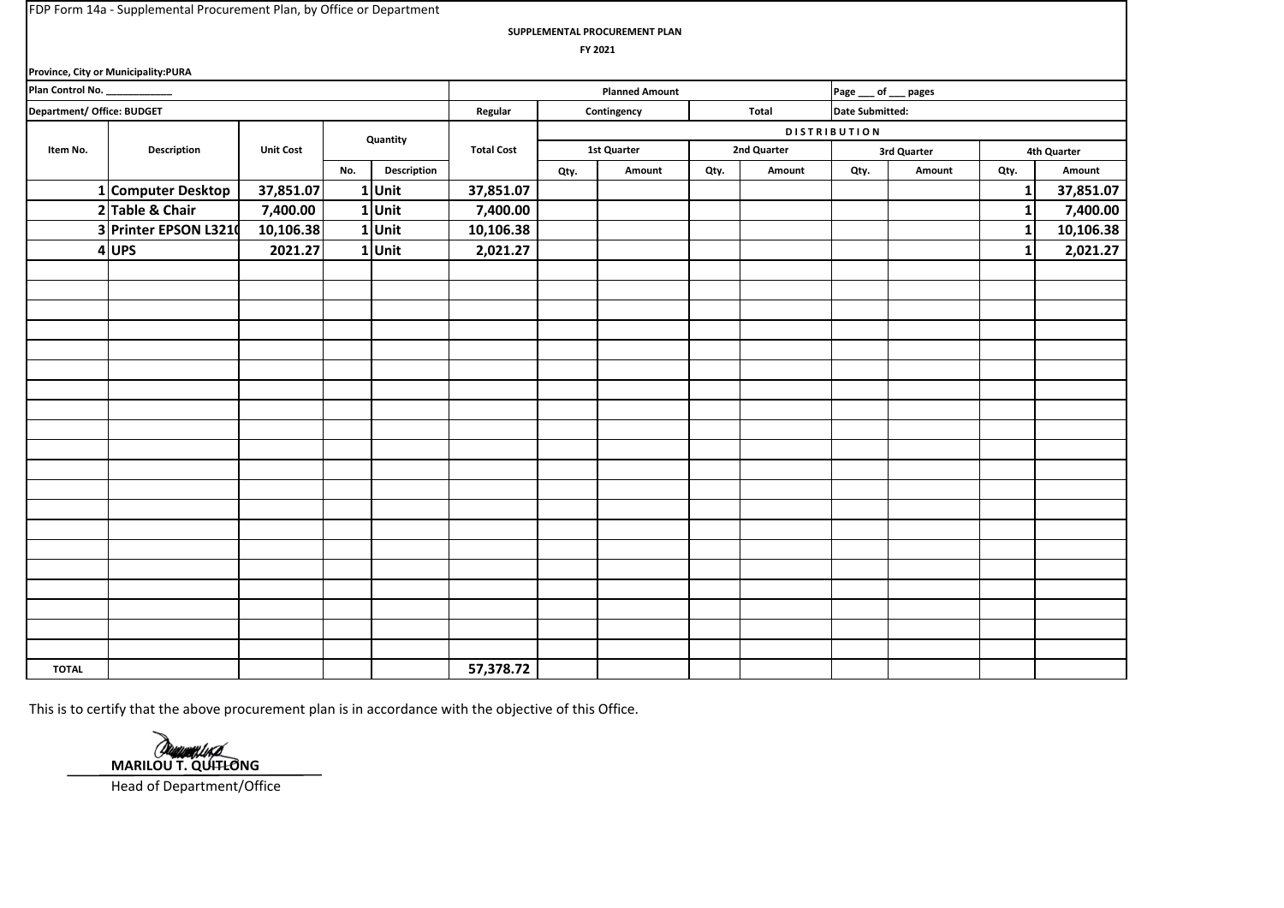**SUPPLEMENTAL PROCUREMENT PLAN**

 **FY 2021**

|                            | Province, City or Municipality:PURA |                  |     |             |                   |      |                       |      |             |                        |             |             |             |
|----------------------------|-------------------------------------|------------------|-----|-------------|-------------------|------|-----------------------|------|-------------|------------------------|-------------|-------------|-------------|
| Plan Control No. ________  |                                     |                  |     |             |                   |      | <b>Planned Amount</b> |      |             | Page ___ of ___ pages  |             |             |             |
| Department/ Office: BUDGET |                                     |                  |     |             | Regular           |      | Contingency           |      | Total       | <b>Date Submitted:</b> |             |             |             |
|                            |                                     |                  |     | Quantity    |                   |      |                       |      |             | <b>DISTRIBUTION</b>    |             |             |             |
| Item No.                   | Description                         | <b>Unit Cost</b> |     |             | <b>Total Cost</b> |      | 1st Quarter           |      | 2nd Quarter |                        | 3rd Quarter |             | 4th Quarter |
|                            |                                     |                  | No. | Description |                   | Qty. | Amount                | Qty. | Amount      | Qty.                   | Amount      | Qty.        | Amount      |
|                            | 1 Computer Desktop                  | 37,851.07        |     | 1Unit       | 37,851.07         |      |                       |      |             |                        |             | 1           | 37,851.07   |
|                            | 2 Table & Chair                     | 7,400.00         |     | 1Unit       | 7,400.00          |      |                       |      |             |                        |             | 1           | 7,400.00    |
|                            | 3 Printer EPSON L3210               | 10,106.38        |     | 1Unit       | 10,106.38         |      |                       |      |             |                        |             | 1           | 10,106.38   |
|                            | $4$ UPS                             | 2021.27          |     | 1Unit       | 2,021.27          |      |                       |      |             |                        |             | $\mathbf 1$ | 2,021.27    |
|                            |                                     |                  |     |             |                   |      |                       |      |             |                        |             |             |             |
|                            |                                     |                  |     |             |                   |      |                       |      |             |                        |             |             |             |
|                            |                                     |                  |     |             |                   |      |                       |      |             |                        |             |             |             |
|                            |                                     |                  |     |             |                   |      |                       |      |             |                        |             |             |             |
|                            |                                     |                  |     |             |                   |      |                       |      |             |                        |             |             |             |
|                            |                                     |                  |     |             |                   |      |                       |      |             |                        |             |             |             |
|                            |                                     |                  |     |             |                   |      |                       |      |             |                        |             |             |             |
|                            |                                     |                  |     |             |                   |      |                       |      |             |                        |             |             |             |
|                            |                                     |                  |     |             |                   |      |                       |      |             |                        |             |             |             |
|                            |                                     |                  |     |             |                   |      |                       |      |             |                        |             |             |             |
|                            |                                     |                  |     |             |                   |      |                       |      |             |                        |             |             |             |
|                            |                                     |                  |     |             |                   |      |                       |      |             |                        |             |             |             |
|                            |                                     |                  |     |             |                   |      |                       |      |             |                        |             |             |             |
|                            |                                     |                  |     |             |                   |      |                       |      |             |                        |             |             |             |
|                            |                                     |                  |     |             |                   |      |                       |      |             |                        |             |             |             |
|                            |                                     |                  |     |             |                   |      |                       |      |             |                        |             |             |             |
|                            |                                     |                  |     |             |                   |      |                       |      |             |                        |             |             |             |
|                            |                                     |                  |     |             |                   |      |                       |      |             |                        |             |             |             |
|                            |                                     |                  |     |             |                   |      |                       |      |             |                        |             |             |             |
|                            |                                     |                  |     |             |                   |      |                       |      |             |                        |             |             |             |
| <b>TOTAL</b>               |                                     |                  |     |             | 57,378.72         |      |                       |      |             |                        |             |             |             |

Danmontes **MARILOU T. QUITLONG** Head of Department/Office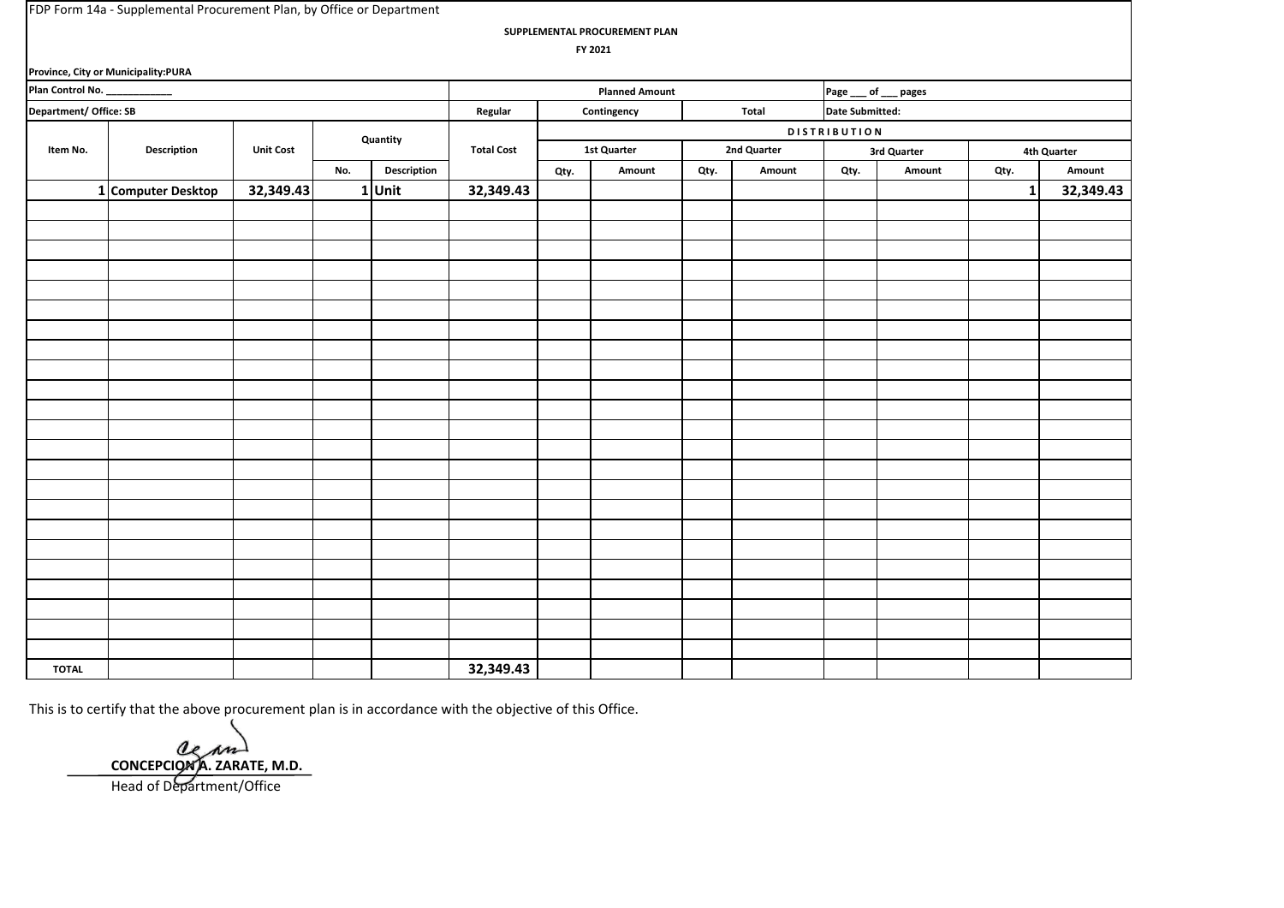**SUPPLEMENTAL PROCUREMENT PLAN**

 **FY 2021**

|                        | Province, City or Municipality:PURA |                  |     |             |                   |      |                       |      |              |                     |             |              |             |
|------------------------|-------------------------------------|------------------|-----|-------------|-------------------|------|-----------------------|------|--------------|---------------------|-------------|--------------|-------------|
| Plan Control No.       |                                     |                  |     |             |                   |      | <b>Planned Amount</b> |      |              | Page __ of __ pages |             |              |             |
| Department/ Office: SB |                                     |                  |     |             | Regular           |      | Contingency           |      | <b>Total</b> | Date Submitted:     |             |              |             |
|                        |                                     |                  |     | Quantity    |                   |      |                       |      |              | <b>DISTRIBUTION</b> |             |              |             |
| Item No.               | Description                         | <b>Unit Cost</b> |     |             | <b>Total Cost</b> |      | <b>1st Quarter</b>    |      | 2nd Quarter  |                     | 3rd Quarter |              | 4th Quarter |
|                        |                                     |                  | No. | Description |                   | Qty. | Amount                | Qty. | Amount       | Qty.                | Amount      | Qty.         | Amount      |
|                        | 1 Computer Desktop                  | 32,349.43        |     | $1$ Unit    | 32,349.43         |      |                       |      |              |                     |             | $\mathbf{1}$ | 32,349.43   |
|                        |                                     |                  |     |             |                   |      |                       |      |              |                     |             |              |             |
|                        |                                     |                  |     |             |                   |      |                       |      |              |                     |             |              |             |
|                        |                                     |                  |     |             |                   |      |                       |      |              |                     |             |              |             |
|                        |                                     |                  |     |             |                   |      |                       |      |              |                     |             |              |             |
|                        |                                     |                  |     |             |                   |      |                       |      |              |                     |             |              |             |
|                        |                                     |                  |     |             |                   |      |                       |      |              |                     |             |              |             |
|                        |                                     |                  |     |             |                   |      |                       |      |              |                     |             |              |             |
|                        |                                     |                  |     |             |                   |      |                       |      |              |                     |             |              |             |
|                        |                                     |                  |     |             |                   |      |                       |      |              |                     |             |              |             |
|                        |                                     |                  |     |             |                   |      |                       |      |              |                     |             |              |             |
|                        |                                     |                  |     |             |                   |      |                       |      |              |                     |             |              |             |
|                        |                                     |                  |     |             |                   |      |                       |      |              |                     |             |              |             |
|                        |                                     |                  |     |             |                   |      |                       |      |              |                     |             |              |             |
|                        |                                     |                  |     |             |                   |      |                       |      |              |                     |             |              |             |
|                        |                                     |                  |     |             |                   |      |                       |      |              |                     |             |              |             |
|                        |                                     |                  |     |             |                   |      |                       |      |              |                     |             |              |             |
|                        |                                     |                  |     |             |                   |      |                       |      |              |                     |             |              |             |
|                        |                                     |                  |     |             |                   |      |                       |      |              |                     |             |              |             |
|                        |                                     |                  |     |             |                   |      |                       |      |              |                     |             |              |             |
|                        |                                     |                  |     |             |                   |      |                       |      |              |                     |             |              |             |
|                        |                                     |                  |     |             |                   |      |                       |      |              |                     |             |              |             |
|                        |                                     |                  |     |             |                   |      |                       |      |              |                     |             |              |             |
|                        |                                     |                  |     |             |                   |      |                       |      |              |                     |             |              |             |
| <b>TOTAL</b>           |                                     |                  |     |             | 32,349.43         |      |                       |      |              |                     |             |              |             |

**CONCEPCION A. ZARATE, M.D.** Head of Department/Office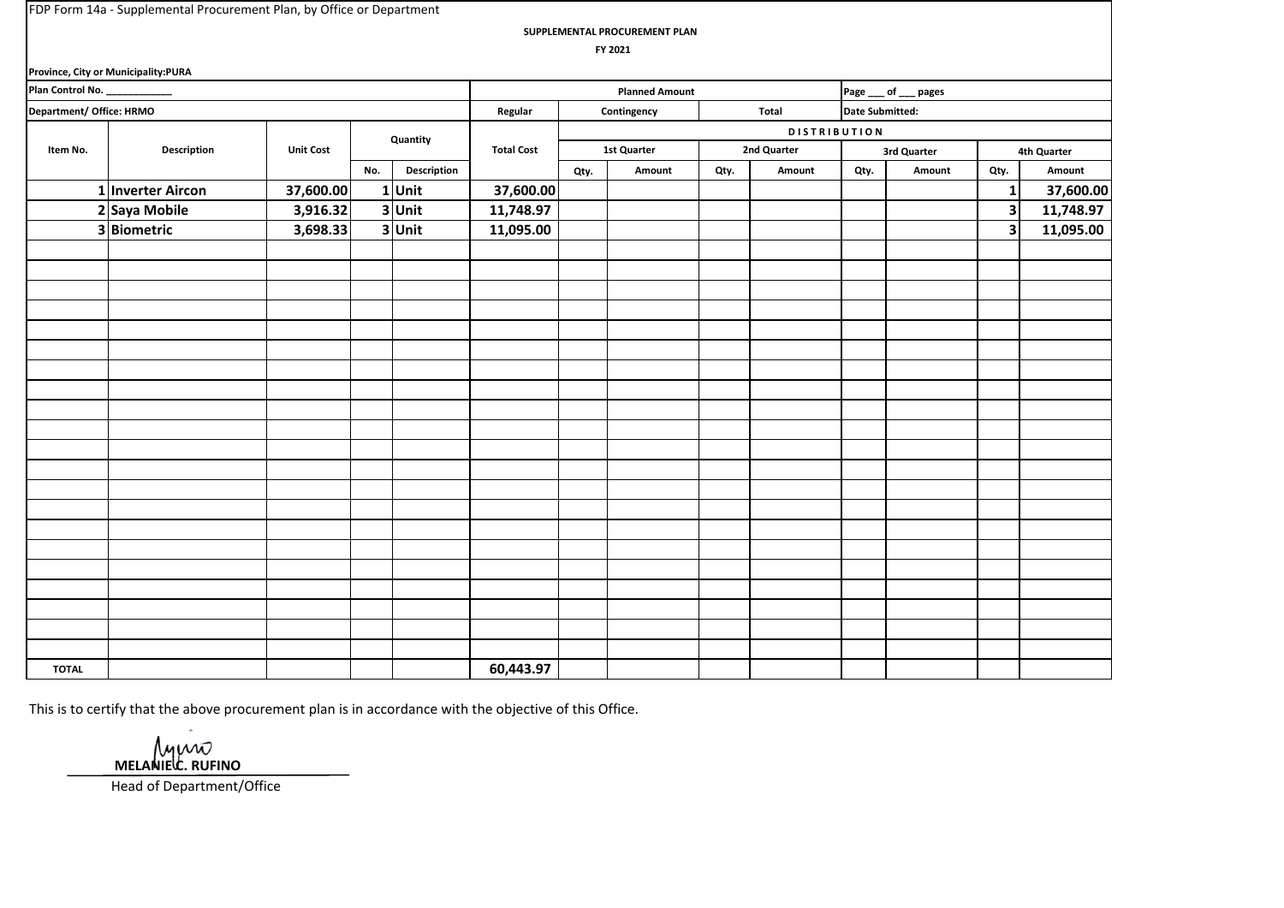**Province, City or Municipality:PURA**

**SUPPLEMENTAL PROCUREMENT PLAN**

 **FY 2021**

|                              | <b>Province, City or Municipality:PURA</b> |                  |     |             |                   |      |                       |      |                     |                        |                       |              |             |
|------------------------------|--------------------------------------------|------------------|-----|-------------|-------------------|------|-----------------------|------|---------------------|------------------------|-----------------------|--------------|-------------|
| Plan Control No. ___________ |                                            |                  |     |             |                   |      | <b>Planned Amount</b> |      |                     |                        | Page ___ of ___ pages |              |             |
| Department/ Office: HRMO     |                                            |                  |     |             | Regular           |      | Contingency           |      | Total               | <b>Date Submitted:</b> |                       |              |             |
|                              |                                            |                  |     | Quantity    |                   |      |                       |      | <b>DISTRIBUTION</b> |                        |                       |              |             |
| Item No.                     | Description                                | <b>Unit Cost</b> |     |             | <b>Total Cost</b> |      | 1st Quarter           |      | 2nd Quarter         |                        | 3rd Quarter           |              | 4th Quarter |
|                              |                                            |                  | No. | Description |                   | Qty. | Amount                | Qty. | Amount              | Qty.                   | Amount                | Qty.         | Amount      |
|                              | 1 Inverter Aircon                          | 37,600.00        |     | $1$ Unit    | 37,600.00         |      |                       |      |                     |                        |                       | $\mathbf{1}$ | 37,600.00   |
|                              | 2 Saya Mobile                              | 3,916.32         |     | 3 Unit      | 11,748.97         |      |                       |      |                     |                        |                       | $\vert$ 3    | 11,748.97   |
|                              | 3 Biometric                                | 3,698.33         |     | 3 Unit      | 11,095.00         |      |                       |      |                     |                        |                       | $\mathbf{3}$ | 11,095.00   |
|                              |                                            |                  |     |             |                   |      |                       |      |                     |                        |                       |              |             |
|                              |                                            |                  |     |             |                   |      |                       |      |                     |                        |                       |              |             |
|                              |                                            |                  |     |             |                   |      |                       |      |                     |                        |                       |              |             |
|                              |                                            |                  |     |             |                   |      |                       |      |                     |                        |                       |              |             |
|                              |                                            |                  |     |             |                   |      |                       |      |                     |                        |                       |              |             |
|                              |                                            |                  |     |             |                   |      |                       |      |                     |                        |                       |              |             |
|                              |                                            |                  |     |             |                   |      |                       |      |                     |                        |                       |              |             |
|                              |                                            |                  |     |             |                   |      |                       |      |                     |                        |                       |              |             |
|                              |                                            |                  |     |             |                   |      |                       |      |                     |                        |                       |              |             |
|                              |                                            |                  |     |             |                   |      |                       |      |                     |                        |                       |              |             |
|                              |                                            |                  |     |             |                   |      |                       |      |                     |                        |                       |              |             |
|                              |                                            |                  |     |             |                   |      |                       |      |                     |                        |                       |              |             |
|                              |                                            |                  |     |             |                   |      |                       |      |                     |                        |                       |              |             |
|                              |                                            |                  |     |             |                   |      |                       |      |                     |                        |                       |              |             |
|                              |                                            |                  |     |             |                   |      |                       |      |                     |                        |                       |              |             |
|                              |                                            |                  |     |             |                   |      |                       |      |                     |                        |                       |              |             |
|                              |                                            |                  |     |             |                   |      |                       |      |                     |                        |                       |              |             |
|                              |                                            |                  |     |             |                   |      |                       |      |                     |                        |                       |              |             |
|                              |                                            |                  |     |             |                   |      |                       |      |                     |                        |                       |              |             |
|                              |                                            |                  |     |             |                   |      |                       |      |                     |                        |                       |              |             |
|                              |                                            |                  |     |             |                   |      |                       |      |                     |                        |                       |              |             |
| <b>TOTAL</b>                 |                                            |                  |     |             | 60,443.97         |      |                       |      |                     |                        |                       |              |             |

This is to certify that the above procurement plan is in accordance with the objective of this Office.

Muno **MELANIELE.** RUFINO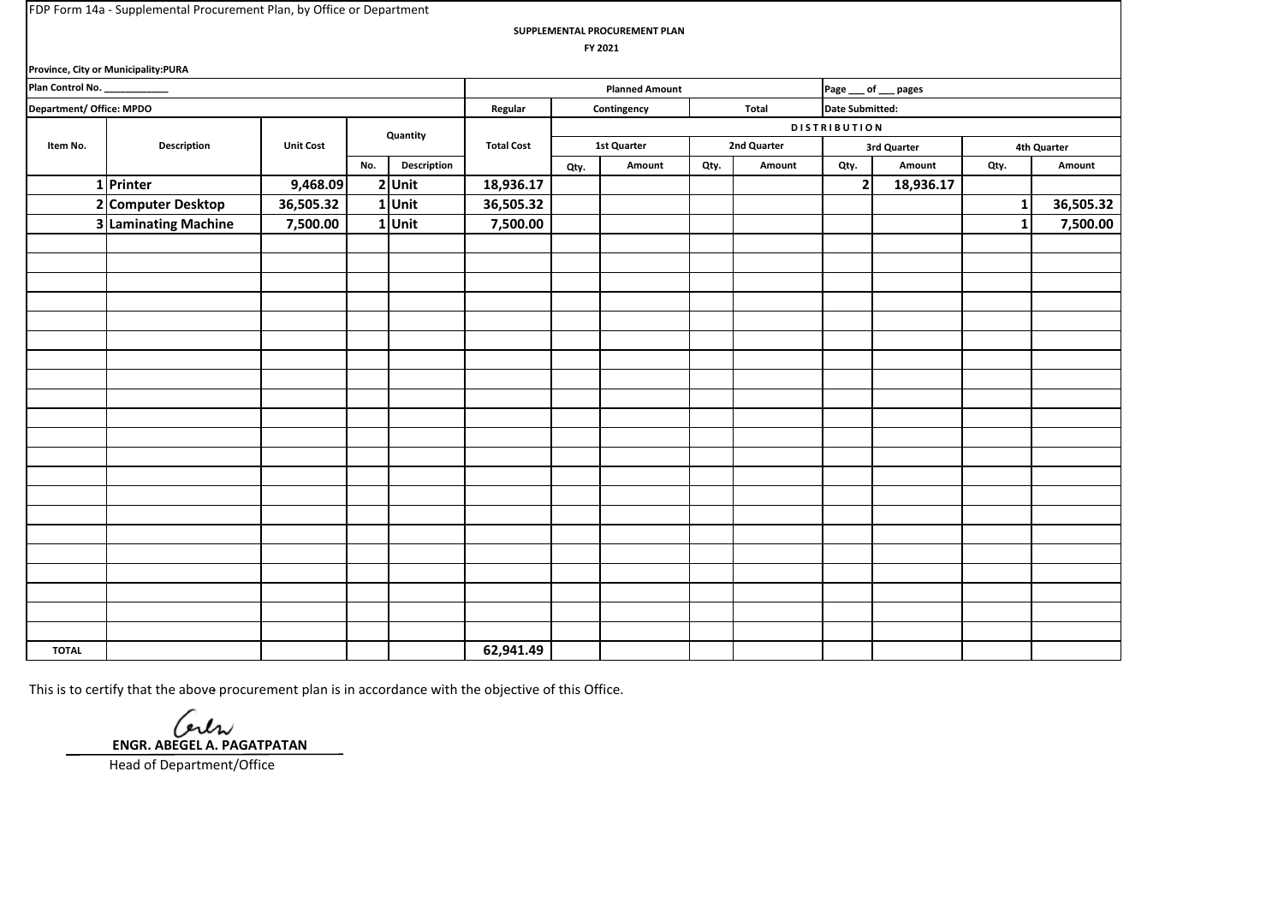**SUPPLEMENTAL PROCUREMENT PLAN**

 **FY 2021**

|                          | Province, City or Municipality:PURA |                  |     |             |                   |      |                       |      |             |                        |             |          |             |
|--------------------------|-------------------------------------|------------------|-----|-------------|-------------------|------|-----------------------|------|-------------|------------------------|-------------|----------|-------------|
| Plan Control No. ___     |                                     |                  |     |             |                   |      | <b>Planned Amount</b> |      |             | Page __ of __ pages    |             |          |             |
| Department/ Office: MPDO |                                     |                  |     |             | Regular           |      | Contingency           |      | Total       | <b>Date Submitted:</b> |             |          |             |
|                          |                                     |                  |     | Quantity    |                   |      |                       |      |             | <b>DISTRIBUTION</b>    |             |          |             |
| Item No.                 | Description                         | <b>Unit Cost</b> |     |             | <b>Total Cost</b> |      | <b>1st Quarter</b>    |      | 2nd Quarter |                        | 3rd Quarter |          | 4th Quarter |
|                          |                                     |                  | No. | Description |                   | Qty. | Amount                | Qty. | Amount      | Qty.                   | Amount      | Qty.     | Amount      |
|                          | 1 Printer                           | 9,468.09         |     | $2$ Unit    | 18,936.17         |      |                       |      |             | $\mathbf{2}$           | 18,936.17   |          |             |
|                          | 2 Computer Desktop                  | 36,505.32        |     | 1 Unit      | 36,505.32         |      |                       |      |             |                        |             | $1\vert$ | 36,505.32   |
|                          | 3 Laminating Machine                | 7,500.00         |     | 1 Unit      | 7,500.00          |      |                       |      |             |                        |             | $1\vert$ | 7,500.00    |
|                          |                                     |                  |     |             |                   |      |                       |      |             |                        |             |          |             |
|                          |                                     |                  |     |             |                   |      |                       |      |             |                        |             |          |             |
|                          |                                     |                  |     |             |                   |      |                       |      |             |                        |             |          |             |
|                          |                                     |                  |     |             |                   |      |                       |      |             |                        |             |          |             |
|                          |                                     |                  |     |             |                   |      |                       |      |             |                        |             |          |             |
|                          |                                     |                  |     |             |                   |      |                       |      |             |                        |             |          |             |
|                          |                                     |                  |     |             |                   |      |                       |      |             |                        |             |          |             |
|                          |                                     |                  |     |             |                   |      |                       |      |             |                        |             |          |             |
|                          |                                     |                  |     |             |                   |      |                       |      |             |                        |             |          |             |
|                          |                                     |                  |     |             |                   |      |                       |      |             |                        |             |          |             |
|                          |                                     |                  |     |             |                   |      |                       |      |             |                        |             |          |             |
|                          |                                     |                  |     |             |                   |      |                       |      |             |                        |             |          |             |
|                          |                                     |                  |     |             |                   |      |                       |      |             |                        |             |          |             |
|                          |                                     |                  |     |             |                   |      |                       |      |             |                        |             |          |             |
|                          |                                     |                  |     |             |                   |      |                       |      |             |                        |             |          |             |
|                          |                                     |                  |     |             |                   |      |                       |      |             |                        |             |          |             |
|                          |                                     |                  |     |             |                   |      |                       |      |             |                        |             |          |             |
|                          |                                     |                  |     |             |                   |      |                       |      |             |                        |             |          |             |
|                          |                                     |                  |     |             |                   |      |                       |      |             |                        |             |          |             |
|                          |                                     |                  |     |             |                   |      |                       |      |             |                        |             |          |             |
|                          |                                     |                  |     |             |                   |      |                       |      |             |                        |             |          |             |
| <b>TOTAL</b>             |                                     |                  |     |             | 62,941.49         |      |                       |      |             |                        |             |          |             |

This is to certify that the above procurement plan is in accordance with the objective of this Office.

 **ENGR. ABEGEL A. PAGATPATAN**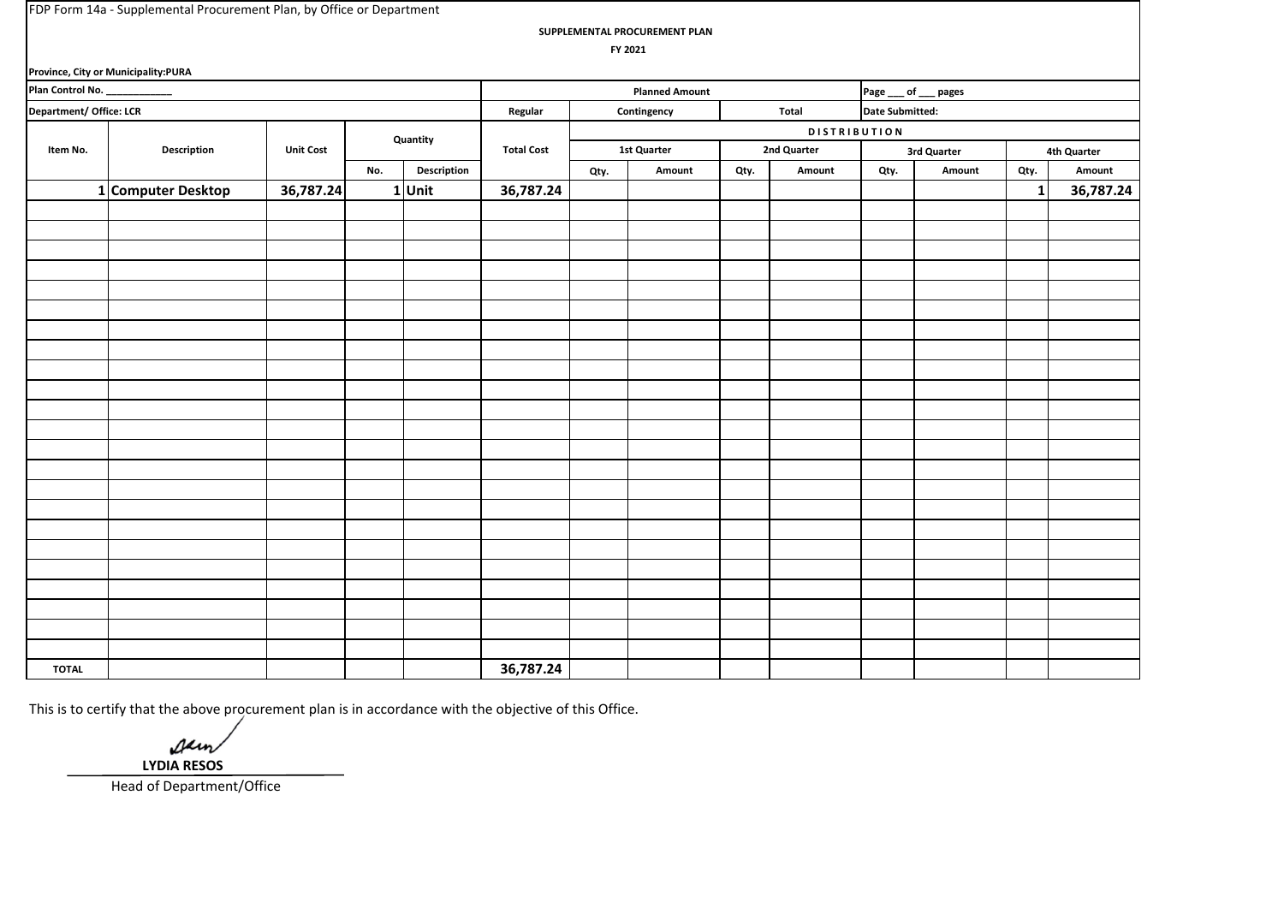**SUPPLEMENTAL PROCUREMENT PLAN**

 **FY 2021**

|                              | Province, City or Municipality:PURA |                  |     |             |                   |      |                       |      |                     |                     |             |      |             |
|------------------------------|-------------------------------------|------------------|-----|-------------|-------------------|------|-----------------------|------|---------------------|---------------------|-------------|------|-------------|
| Plan Control No. ___________ |                                     |                  |     |             |                   |      | <b>Planned Amount</b> |      |                     | Page __ of __ pages |             |      |             |
| Department/ Office: LCR      |                                     |                  |     |             | Regular           |      | Contingency           |      | Total               | Date Submitted:     |             |      |             |
|                              |                                     |                  |     | Quantity    |                   |      |                       |      | <b>DISTRIBUTION</b> |                     |             |      |             |
| Item No.                     | Description                         | <b>Unit Cost</b> |     |             | <b>Total Cost</b> |      | <b>1st Quarter</b>    |      | 2nd Quarter         |                     | 3rd Quarter |      | 4th Quarter |
|                              |                                     |                  | No. | Description |                   | Qty. | Amount                | Qty. | Amount              | Qty.                | Amount      | Qty. | Amount      |
|                              | 1 Computer Desktop                  | 36,787.24        |     | $1$ Unit    | 36,787.24         |      |                       |      |                     |                     |             | 1    | 36,787.24   |
|                              |                                     |                  |     |             |                   |      |                       |      |                     |                     |             |      |             |
|                              |                                     |                  |     |             |                   |      |                       |      |                     |                     |             |      |             |
|                              |                                     |                  |     |             |                   |      |                       |      |                     |                     |             |      |             |
|                              |                                     |                  |     |             |                   |      |                       |      |                     |                     |             |      |             |
|                              |                                     |                  |     |             |                   |      |                       |      |                     |                     |             |      |             |
|                              |                                     |                  |     |             |                   |      |                       |      |                     |                     |             |      |             |
|                              |                                     |                  |     |             |                   |      |                       |      |                     |                     |             |      |             |
|                              |                                     |                  |     |             |                   |      |                       |      |                     |                     |             |      |             |
|                              |                                     |                  |     |             |                   |      |                       |      |                     |                     |             |      |             |
|                              |                                     |                  |     |             |                   |      |                       |      |                     |                     |             |      |             |
|                              |                                     |                  |     |             |                   |      |                       |      |                     |                     |             |      |             |
|                              |                                     |                  |     |             |                   |      |                       |      |                     |                     |             |      |             |
|                              |                                     |                  |     |             |                   |      |                       |      |                     |                     |             |      |             |
|                              |                                     |                  |     |             |                   |      |                       |      |                     |                     |             |      |             |
|                              |                                     |                  |     |             |                   |      |                       |      |                     |                     |             |      |             |
|                              |                                     |                  |     |             |                   |      |                       |      |                     |                     |             |      |             |
|                              |                                     |                  |     |             |                   |      |                       |      |                     |                     |             |      |             |
|                              |                                     |                  |     |             |                   |      |                       |      |                     |                     |             |      |             |
|                              |                                     |                  |     |             |                   |      |                       |      |                     |                     |             |      |             |
|                              |                                     |                  |     |             |                   |      |                       |      |                     |                     |             |      |             |
|                              |                                     |                  |     |             |                   |      |                       |      |                     |                     |             |      |             |
|                              |                                     |                  |     |             |                   |      |                       |      |                     |                     |             |      |             |
|                              |                                     |                  |     |             |                   |      |                       |      |                     |                     |             |      |             |
| <b>TOTAL</b>                 |                                     |                  |     |             | 36,787.24         |      |                       |      |                     |                     |             |      |             |

Aun  **LYDIA RESOS**

Head of Department/Office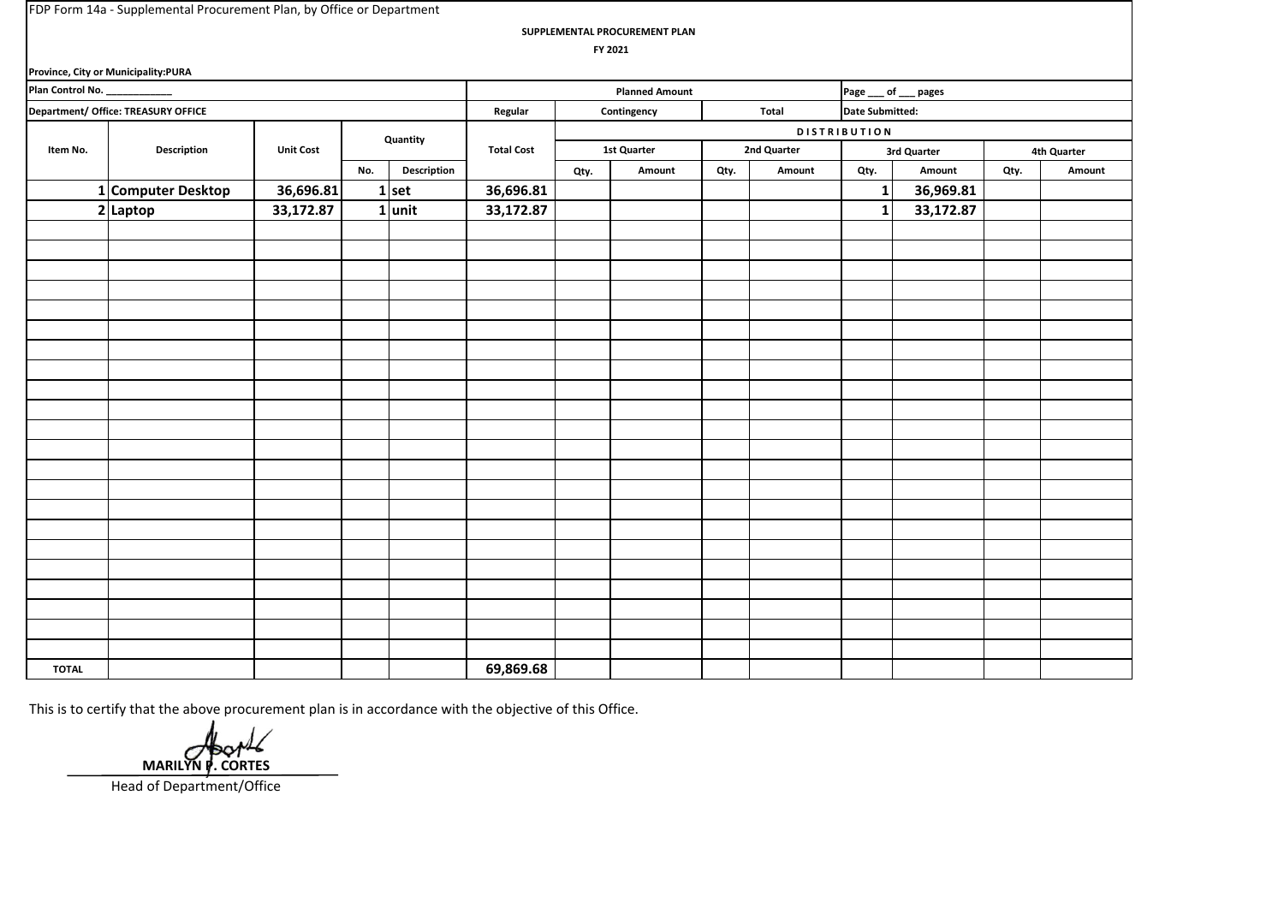**SUPPLEMENTAL PROCUREMENT PLAN**

 **FY 2021**

|                              | Province, City or Municipality:PURA |                  |     |             |                   |      |                       |      |             |                        |             |      |             |
|------------------------------|-------------------------------------|------------------|-----|-------------|-------------------|------|-----------------------|------|-------------|------------------------|-------------|------|-------------|
| Plan Control No. ___________ |                                     |                  |     |             |                   |      | <b>Planned Amount</b> |      |             | Page ___ of ___ pages  |             |      |             |
|                              | Department/ Office: TREASURY OFFICE |                  |     |             | Regular           |      | Contingency           |      | Total       | <b>Date Submitted:</b> |             |      |             |
|                              |                                     |                  |     | Quantity    |                   |      |                       |      |             | <b>DISTRIBUTION</b>    |             |      |             |
| Item No.                     | Description                         | <b>Unit Cost</b> |     |             | <b>Total Cost</b> |      | <b>1st Quarter</b>    |      | 2nd Quarter |                        | 3rd Quarter |      | 4th Quarter |
|                              |                                     |                  | No. | Description |                   | Qty. | Amount                | Qty. | Amount      | Qty.                   | Amount      | Qty. | Amount      |
|                              | 1 Computer Desktop                  | 36,696.81        |     | $1$ set     | 36,696.81         |      |                       |      |             | $\mathbf{1}$           | 36,969.81   |      |             |
|                              | $2$ Laptop                          | 33,172.87        |     | $1$ unit    | 33,172.87         |      |                       |      |             | $\mathbf{1}$           | 33,172.87   |      |             |
|                              |                                     |                  |     |             |                   |      |                       |      |             |                        |             |      |             |
|                              |                                     |                  |     |             |                   |      |                       |      |             |                        |             |      |             |
|                              |                                     |                  |     |             |                   |      |                       |      |             |                        |             |      |             |
|                              |                                     |                  |     |             |                   |      |                       |      |             |                        |             |      |             |
|                              |                                     |                  |     |             |                   |      |                       |      |             |                        |             |      |             |
|                              |                                     |                  |     |             |                   |      |                       |      |             |                        |             |      |             |
|                              |                                     |                  |     |             |                   |      |                       |      |             |                        |             |      |             |
|                              |                                     |                  |     |             |                   |      |                       |      |             |                        |             |      |             |
|                              |                                     |                  |     |             |                   |      |                       |      |             |                        |             |      |             |
|                              |                                     |                  |     |             |                   |      |                       |      |             |                        |             |      |             |
|                              |                                     |                  |     |             |                   |      |                       |      |             |                        |             |      |             |
|                              |                                     |                  |     |             |                   |      |                       |      |             |                        |             |      |             |
|                              |                                     |                  |     |             |                   |      |                       |      |             |                        |             |      |             |
|                              |                                     |                  |     |             |                   |      |                       |      |             |                        |             |      |             |
|                              |                                     |                  |     |             |                   |      |                       |      |             |                        |             |      |             |
|                              |                                     |                  |     |             |                   |      |                       |      |             |                        |             |      |             |
|                              |                                     |                  |     |             |                   |      |                       |      |             |                        |             |      |             |
|                              |                                     |                  |     |             |                   |      |                       |      |             |                        |             |      |             |
|                              |                                     |                  |     |             |                   |      |                       |      |             |                        |             |      |             |
|                              |                                     |                  |     |             |                   |      |                       |      |             |                        |             |      |             |
|                              |                                     |                  |     |             |                   |      |                       |      |             |                        |             |      |             |
|                              |                                     |                  |     |             |                   |      |                       |      |             |                        |             |      |             |
| <b>TOTAL</b>                 |                                     |                  |     |             | 69,869.68         |      |                       |      |             |                        |             |      |             |

 **MARILYN P. CORTES**

Head of Department/Office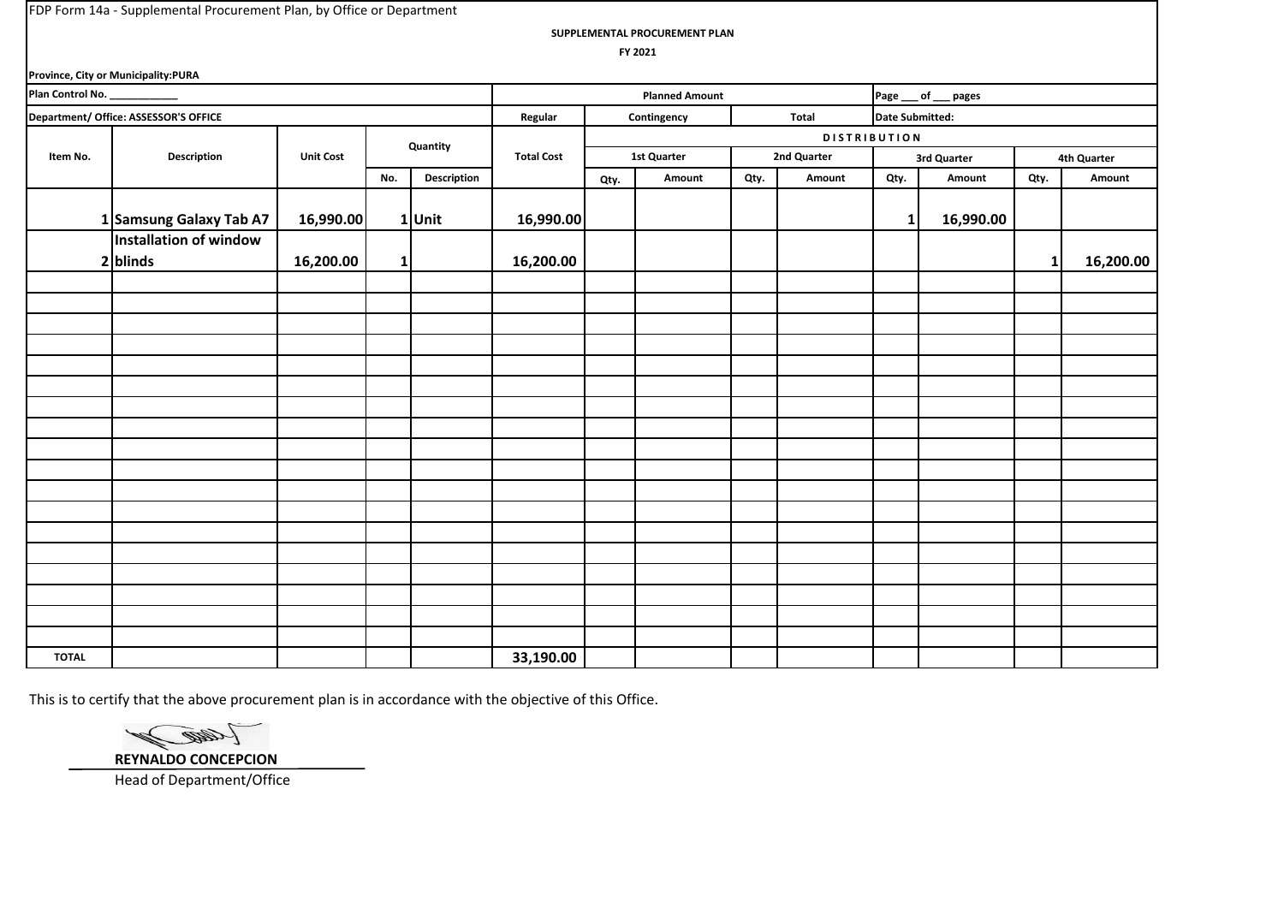**SUPPLEMENTAL PROCUREMENT PLAN**

 **FY 2021**

|                               | Province, City or Municipality:PURA   |                  |             |             |                   |      |                       |      |                     |                        |                     |      |             |
|-------------------------------|---------------------------------------|------------------|-------------|-------------|-------------------|------|-----------------------|------|---------------------|------------------------|---------------------|------|-------------|
| Plan Control No. ____________ |                                       |                  |             |             |                   |      | <b>Planned Amount</b> |      |                     |                        | Page __ of __ pages |      |             |
|                               | Department/ Office: ASSESSOR'S OFFICE |                  |             |             | Regular           |      | Contingency           |      | Total               | <b>Date Submitted:</b> |                     |      |             |
|                               |                                       |                  |             | Quantity    |                   |      |                       |      | <b>DISTRIBUTION</b> |                        |                     |      |             |
| Item No.                      | <b>Description</b>                    | <b>Unit Cost</b> |             |             | <b>Total Cost</b> |      | 1st Quarter           |      | 2nd Quarter         |                        | 3rd Quarter         |      | 4th Quarter |
|                               |                                       |                  | No.         | Description |                   | Qty. | Amount                | Qty. | Amount              | Qty.                   | Amount              | Qty. | Amount      |
|                               | 1 Samsung Galaxy Tab A7               | 16,990.00        |             | 1 Unit      | 16,990.00         |      |                       |      |                     | 1                      | 16,990.00           |      |             |
|                               | Installation of window                |                  |             |             |                   |      |                       |      |                     |                        |                     |      |             |
|                               | $2$ blinds                            | 16,200.00        | $\mathbf 1$ |             | 16,200.00         |      |                       |      |                     |                        |                     | 1    | 16,200.00   |
|                               |                                       |                  |             |             |                   |      |                       |      |                     |                        |                     |      |             |
|                               |                                       |                  |             |             |                   |      |                       |      |                     |                        |                     |      |             |
|                               |                                       |                  |             |             |                   |      |                       |      |                     |                        |                     |      |             |
|                               |                                       |                  |             |             |                   |      |                       |      |                     |                        |                     |      |             |
|                               |                                       |                  |             |             |                   |      |                       |      |                     |                        |                     |      |             |
|                               |                                       |                  |             |             |                   |      |                       |      |                     |                        |                     |      |             |
|                               |                                       |                  |             |             |                   |      |                       |      |                     |                        |                     |      |             |
|                               |                                       |                  |             |             |                   |      |                       |      |                     |                        |                     |      |             |
|                               |                                       |                  |             |             |                   |      |                       |      |                     |                        |                     |      |             |
|                               |                                       |                  |             |             |                   |      |                       |      |                     |                        |                     |      |             |
|                               |                                       |                  |             |             |                   |      |                       |      |                     |                        |                     |      |             |
|                               |                                       |                  |             |             |                   |      |                       |      |                     |                        |                     |      |             |
|                               |                                       |                  |             |             |                   |      |                       |      |                     |                        |                     |      |             |
|                               |                                       |                  |             |             |                   |      |                       |      |                     |                        |                     |      |             |
|                               |                                       |                  |             |             |                   |      |                       |      |                     |                        |                     |      |             |
|                               |                                       |                  |             |             |                   |      |                       |      |                     |                        |                     |      |             |
|                               |                                       |                  |             |             |                   |      |                       |      |                     |                        |                     |      |             |
|                               |                                       |                  |             |             |                   |      |                       |      |                     |                        |                     |      |             |
| <b>TOTAL</b>                  |                                       |                  |             |             | 33,190.00         |      |                       |      |                     |                        |                     |      |             |

This is to certify that the above procurement plan is in accordance with the objective of this Office.

(Cand ) **REYNALDO CONCEPCION**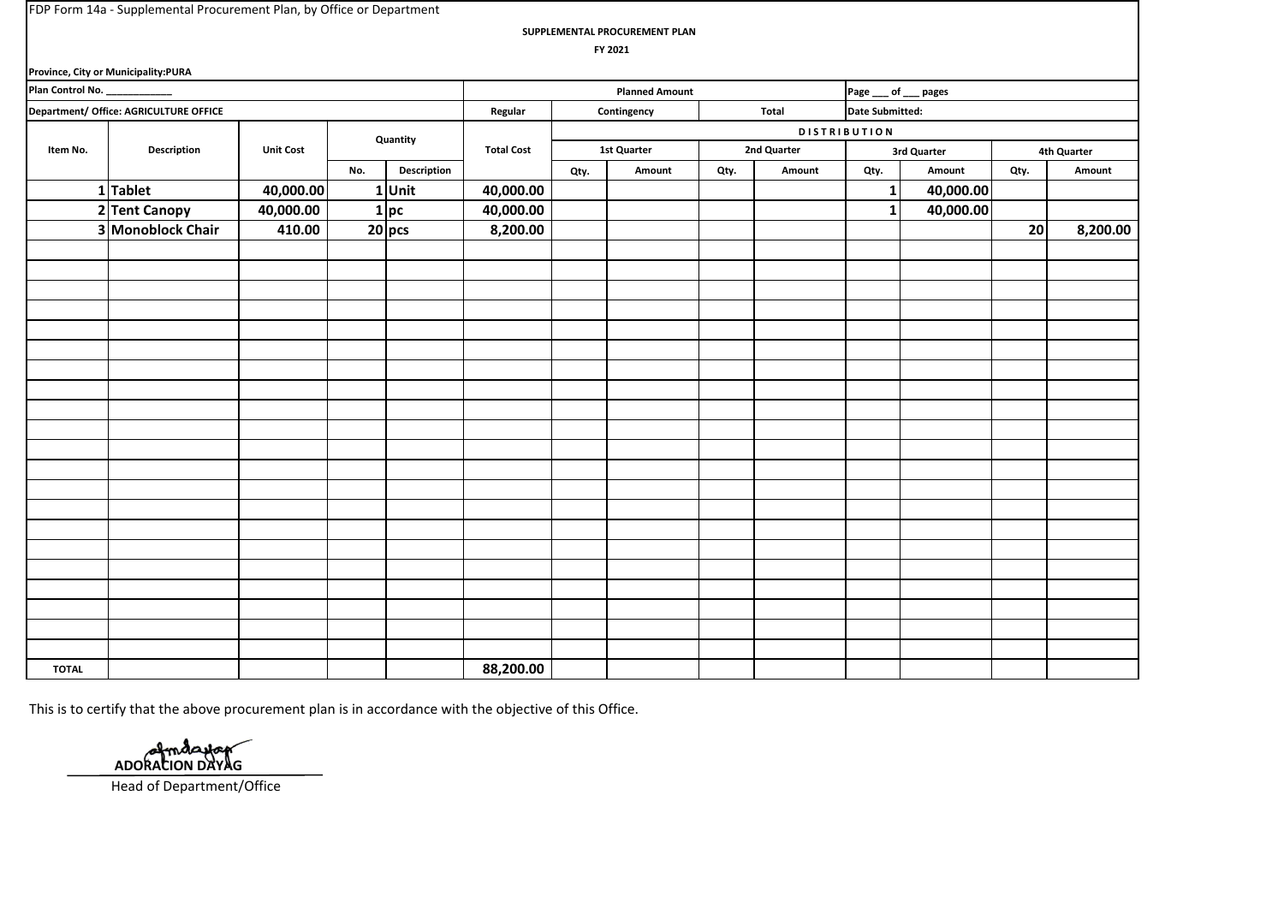**SUPPLEMENTAL PROCUREMENT PLAN**

 **FY 2021**

|                              | Province, City or Municipality:PURA    |                  |     |             |                   |      |                       |      |             |                        |             |      |             |
|------------------------------|----------------------------------------|------------------|-----|-------------|-------------------|------|-----------------------|------|-------------|------------------------|-------------|------|-------------|
| Plan Control No. ___________ |                                        |                  |     |             |                   |      | <b>Planned Amount</b> |      |             | Page ___ of ___ pages  |             |      |             |
|                              | Department/ Office: AGRICULTURE OFFICE |                  |     |             | Regular           |      | Contingency           |      | Total       | <b>Date Submitted:</b> |             |      |             |
|                              |                                        |                  |     | Quantity    |                   |      |                       |      |             | <b>DISTRIBUTION</b>    |             |      |             |
| Item No.                     | Description                            | <b>Unit Cost</b> |     |             | <b>Total Cost</b> |      | 1st Quarter           |      | 2nd Quarter |                        | 3rd Quarter |      | 4th Quarter |
|                              |                                        |                  | No. | Description |                   | Qty. | Amount                | Qty. | Amount      | Qty.                   | Amount      | Qty. | Amount      |
|                              | 1Tablet                                | 40,000.00        |     | 1 Unit      | 40,000.00         |      |                       |      |             | $\mathbf{1}$           | 40,000.00   |      |             |
|                              | 2 Tent Canopy                          | 40,000.00        |     | $1$ pc      | 40,000.00         |      |                       |      |             | $1\overline{ }$        | 40,000.00   |      |             |
|                              | 3 Monoblock Chair                      | 410.00           |     | $20$ pcs    | 8,200.00          |      |                       |      |             |                        |             | 20   | 8,200.00    |
|                              |                                        |                  |     |             |                   |      |                       |      |             |                        |             |      |             |
|                              |                                        |                  |     |             |                   |      |                       |      |             |                        |             |      |             |
|                              |                                        |                  |     |             |                   |      |                       |      |             |                        |             |      |             |
|                              |                                        |                  |     |             |                   |      |                       |      |             |                        |             |      |             |
|                              |                                        |                  |     |             |                   |      |                       |      |             |                        |             |      |             |
|                              |                                        |                  |     |             |                   |      |                       |      |             |                        |             |      |             |
|                              |                                        |                  |     |             |                   |      |                       |      |             |                        |             |      |             |
|                              |                                        |                  |     |             |                   |      |                       |      |             |                        |             |      |             |
|                              |                                        |                  |     |             |                   |      |                       |      |             |                        |             |      |             |
|                              |                                        |                  |     |             |                   |      |                       |      |             |                        |             |      |             |
|                              |                                        |                  |     |             |                   |      |                       |      |             |                        |             |      |             |
|                              |                                        |                  |     |             |                   |      |                       |      |             |                        |             |      |             |
|                              |                                        |                  |     |             |                   |      |                       |      |             |                        |             |      |             |
|                              |                                        |                  |     |             |                   |      |                       |      |             |                        |             |      |             |
|                              |                                        |                  |     |             |                   |      |                       |      |             |                        |             |      |             |
|                              |                                        |                  |     |             |                   |      |                       |      |             |                        |             |      |             |
|                              |                                        |                  |     |             |                   |      |                       |      |             |                        |             |      |             |
|                              |                                        |                  |     |             |                   |      |                       |      |             |                        |             |      |             |
|                              |                                        |                  |     |             |                   |      |                       |      |             |                        |             |      |             |
|                              |                                        |                  |     |             |                   |      |                       |      |             |                        |             |      |             |
|                              |                                        |                  |     |             |                   |      |                       |      |             |                        |             |      |             |
| <b>TOTAL</b>                 |                                        |                  |     |             | 88,200.00         |      |                       |      |             |                        |             |      |             |

This is to certify that the above procurement plan is in accordance with the objective of this Office.

Amdarbar  **ADORACION DAYAG**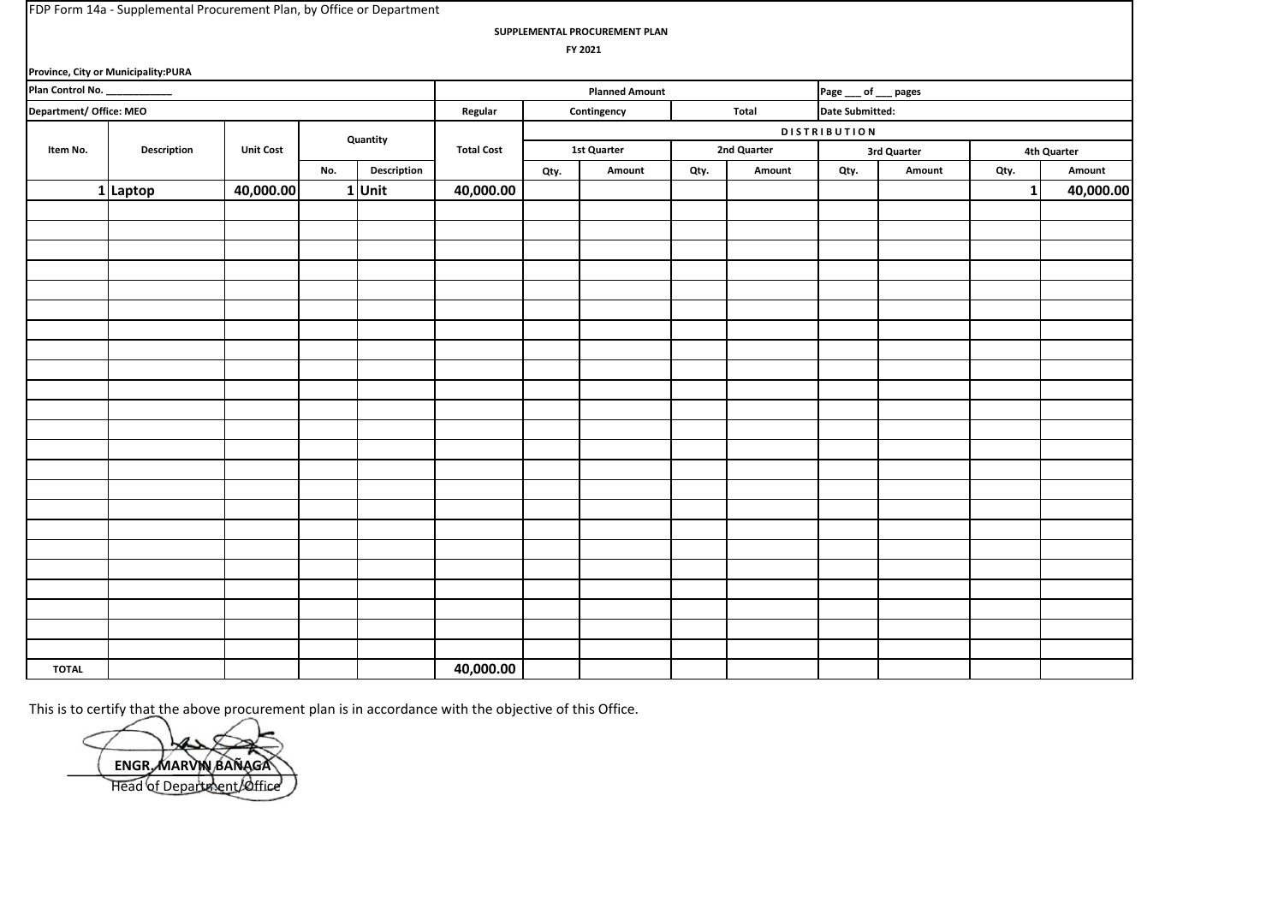| FDP Form 14a - Supplemental Procurement Plan, by Office or Department |  |
|-----------------------------------------------------------------------|--|
|-----------------------------------------------------------------------|--|

**SUPPLEMENTAL PROCUREMENT PLAN**

 **FY 2021**

|                                                         | Province, City or Municipality:PURA |                  |     |                    |                   |      |                       |      |             |                        |             |                |             |
|---------------------------------------------------------|-------------------------------------|------------------|-----|--------------------|-------------------|------|-----------------------|------|-------------|------------------------|-------------|----------------|-------------|
|                                                         |                                     |                  |     |                    |                   |      | <b>Planned Amount</b> |      |             | Page ___ of ___ pages  |             |                |             |
| Plan Control No. ___________<br>Department/ Office: MEO |                                     |                  |     |                    | Regular           |      | Contingency           |      | Total       | <b>Date Submitted:</b> |             |                |             |
|                                                         |                                     |                  |     | Quantity           |                   |      |                       |      |             | <b>DISTRIBUTION</b>    |             |                |             |
| Item No.                                                | Description                         | <b>Unit Cost</b> |     |                    | <b>Total Cost</b> |      | <b>1st Quarter</b>    |      | 2nd Quarter |                        | 3rd Quarter |                | 4th Quarter |
|                                                         |                                     |                  | No. | <b>Description</b> |                   | Qty. | Amount                | Qty. | Amount      | Qty.                   | Amount      | Qty.           | Amount      |
|                                                         | 1 Laptop                            | 40,000.00        |     | $1$ Unit           | 40,000.00         |      |                       |      |             |                        |             | 1 <sup>1</sup> | 40,000.00   |
|                                                         |                                     |                  |     |                    |                   |      |                       |      |             |                        |             |                |             |
|                                                         |                                     |                  |     |                    |                   |      |                       |      |             |                        |             |                |             |
|                                                         |                                     |                  |     |                    |                   |      |                       |      |             |                        |             |                |             |
|                                                         |                                     |                  |     |                    |                   |      |                       |      |             |                        |             |                |             |
|                                                         |                                     |                  |     |                    |                   |      |                       |      |             |                        |             |                |             |
|                                                         |                                     |                  |     |                    |                   |      |                       |      |             |                        |             |                |             |
|                                                         |                                     |                  |     |                    |                   |      |                       |      |             |                        |             |                |             |
|                                                         |                                     |                  |     |                    |                   |      |                       |      |             |                        |             |                |             |
|                                                         |                                     |                  |     |                    |                   |      |                       |      |             |                        |             |                |             |
|                                                         |                                     |                  |     |                    |                   |      |                       |      |             |                        |             |                |             |
|                                                         |                                     |                  |     |                    |                   |      |                       |      |             |                        |             |                |             |
|                                                         |                                     |                  |     |                    |                   |      |                       |      |             |                        |             |                |             |
|                                                         |                                     |                  |     |                    |                   |      |                       |      |             |                        |             |                |             |
|                                                         |                                     |                  |     |                    |                   |      |                       |      |             |                        |             |                |             |
|                                                         |                                     |                  |     |                    |                   |      |                       |      |             |                        |             |                |             |
|                                                         |                                     |                  |     |                    |                   |      |                       |      |             |                        |             |                |             |
|                                                         |                                     |                  |     |                    |                   |      |                       |      |             |                        |             |                |             |
|                                                         |                                     |                  |     |                    |                   |      |                       |      |             |                        |             |                |             |
|                                                         |                                     |                  |     |                    |                   |      |                       |      |             |                        |             |                |             |
|                                                         |                                     |                  |     |                    |                   |      |                       |      |             |                        |             |                |             |
|                                                         |                                     |                  |     |                    |                   |      |                       |      |             |                        |             |                |             |
|                                                         |                                     |                  |     |                    |                   |      |                       |      |             |                        |             |                |             |
|                                                         |                                     |                  |     |                    |                   |      |                       |      |             |                        |             |                |             |
| <b>TOTAL</b>                                            |                                     |                  |     |                    | 40,000.00         |      |                       |      |             |                        |             |                |             |

 **ENGR. MARVIN BAÑAGA** Head of Department/Office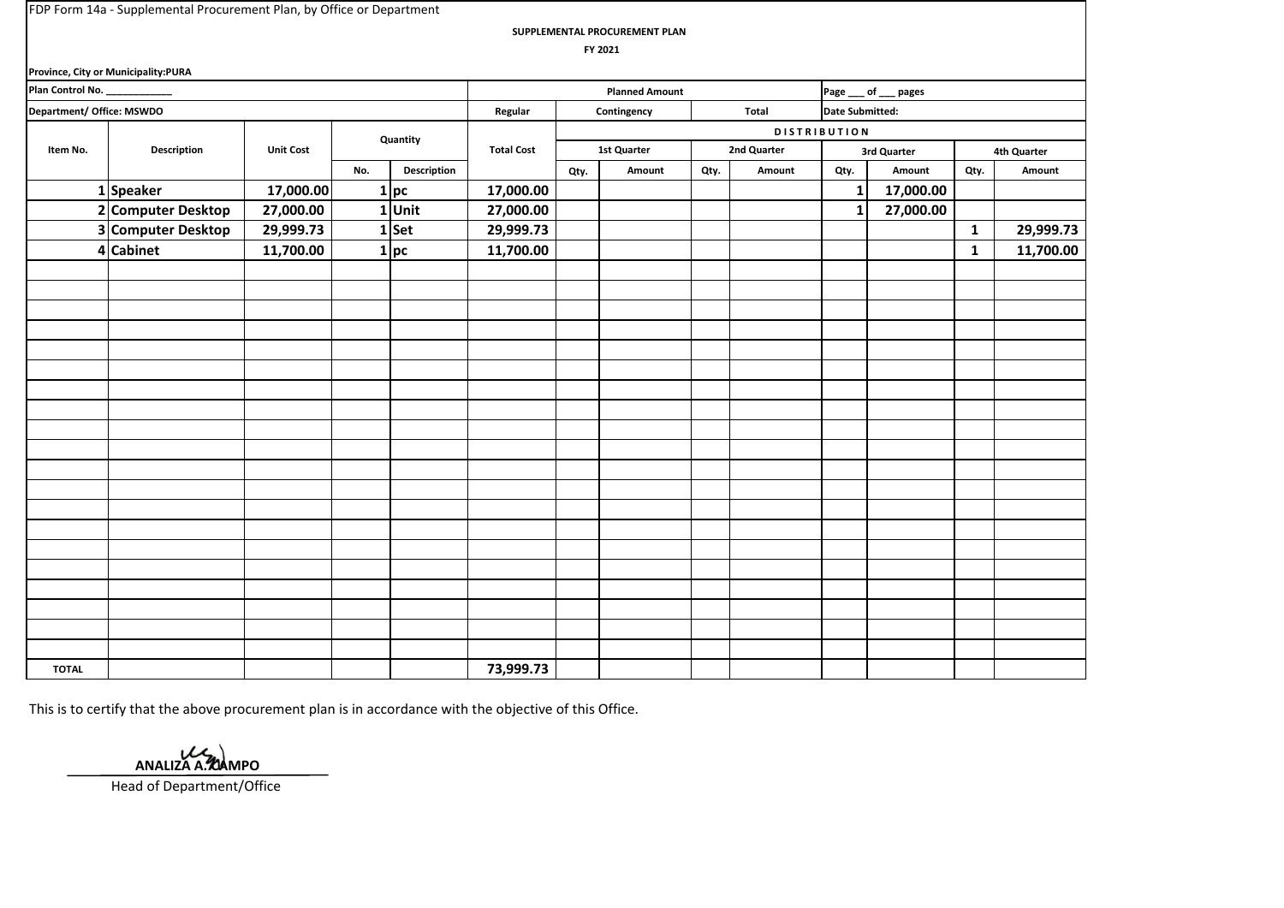**SUPPLEMENTAL PROCUREMENT PLAN**

 **FY 2021**

|                               | Province, City or Municipality:PURA |                  |     |                |                   |      |                       |      |             |                        |                       |              |             |
|-------------------------------|-------------------------------------|------------------|-----|----------------|-------------------|------|-----------------------|------|-------------|------------------------|-----------------------|--------------|-------------|
| Plan Control No. ____________ |                                     |                  |     |                |                   |      | <b>Planned Amount</b> |      |             |                        | Page ___ of ___ pages |              |             |
| Department/ Office: MSWDO     |                                     |                  |     |                | Regular           |      | Contingency           |      | Total       | <b>Date Submitted:</b> |                       |              |             |
|                               |                                     |                  |     | Quantity       |                   |      |                       |      |             | <b>DISTRIBUTION</b>    |                       |              |             |
| Item No.                      | <b>Description</b>                  | <b>Unit Cost</b> |     |                | <b>Total Cost</b> |      | 1st Quarter           |      | 2nd Quarter |                        | 3rd Quarter           |              | 4th Quarter |
|                               |                                     |                  | No. | Description    |                   | Qty. | Amount                | Qty. | Amount      | Qty.                   | Amount                | Qty.         | Amount      |
|                               | 1 Speaker                           | 17,000.00        |     | 1 pc           | 17,000.00         |      |                       |      |             | 1                      | 17,000.00             |              |             |
|                               | 2 Computer Desktop                  | 27,000.00        | 1   | Unit           | 27,000.00         |      |                       |      |             | 1                      | 27,000.00             |              |             |
|                               | 3 Computer Desktop                  | 29,999.73        |     | $1$ Set        | 29,999.73         |      |                       |      |             |                        |                       | $\mathbf{1}$ | 29,999.73   |
|                               | 4 Cabinet                           | 11,700.00        | 1   | $\mathsf{p}$ c | 11,700.00         |      |                       |      |             |                        |                       | $\mathbf{1}$ | 11,700.00   |
|                               |                                     |                  |     |                |                   |      |                       |      |             |                        |                       |              |             |
|                               |                                     |                  |     |                |                   |      |                       |      |             |                        |                       |              |             |
|                               |                                     |                  |     |                |                   |      |                       |      |             |                        |                       |              |             |
|                               |                                     |                  |     |                |                   |      |                       |      |             |                        |                       |              |             |
|                               |                                     |                  |     |                |                   |      |                       |      |             |                        |                       |              |             |
|                               |                                     |                  |     |                |                   |      |                       |      |             |                        |                       |              |             |
|                               |                                     |                  |     |                |                   |      |                       |      |             |                        |                       |              |             |
|                               |                                     |                  |     |                |                   |      |                       |      |             |                        |                       |              |             |
|                               |                                     |                  |     |                |                   |      |                       |      |             |                        |                       |              |             |
|                               |                                     |                  |     |                |                   |      |                       |      |             |                        |                       |              |             |
|                               |                                     |                  |     |                |                   |      |                       |      |             |                        |                       |              |             |
|                               |                                     |                  |     |                |                   |      |                       |      |             |                        |                       |              |             |
|                               |                                     |                  |     |                |                   |      |                       |      |             |                        |                       |              |             |
|                               |                                     |                  |     |                |                   |      |                       |      |             |                        |                       |              |             |
|                               |                                     |                  |     |                |                   |      |                       |      |             |                        |                       |              |             |
|                               |                                     |                  |     |                |                   |      |                       |      |             |                        |                       |              |             |
|                               |                                     |                  |     |                |                   |      |                       |      |             |                        |                       |              |             |
|                               |                                     |                  |     |                |                   |      |                       |      |             |                        |                       |              |             |
|                               |                                     |                  |     |                |                   |      |                       |      |             |                        |                       |              |             |
|                               |                                     |                  |     |                |                   |      |                       |      |             |                        |                       |              |             |
| <b>TOTAL</b>                  |                                     |                  |     |                | 73,999.73         |      |                       |      |             |                        |                       |              |             |

This is to certify that the above procurement plan is in accordance with the objective of this Office.

 **ANALIZA A. CAMPO**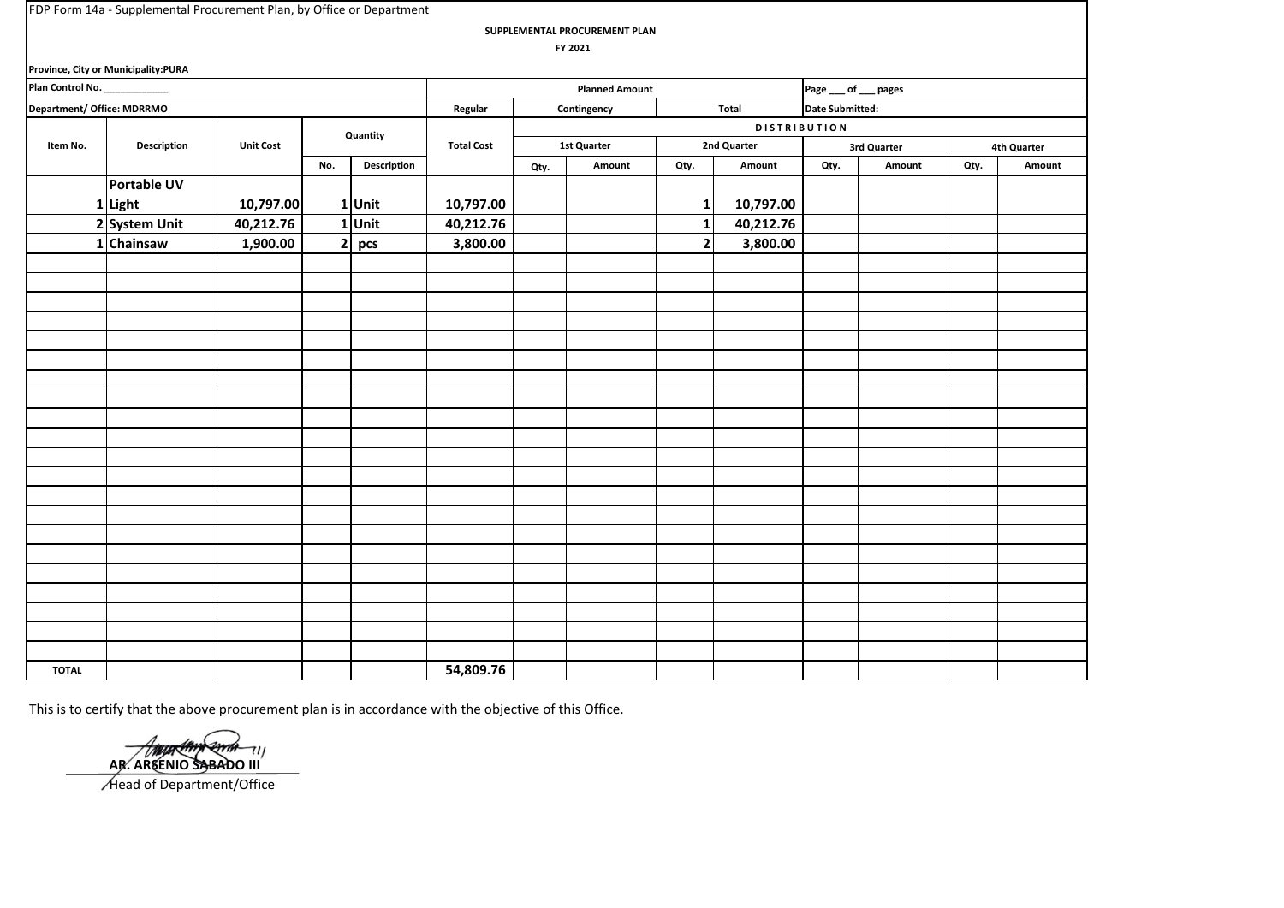**SUPPLEMENTAL PROCUREMENT PLAN**

 **FY 2021**

| Province, City or Municipality:PURA |                       |                      |              |             |                   |                        |             |                 |           |             |        |             |        |  |  |
|-------------------------------------|-----------------------|----------------------|--------------|-------------|-------------------|------------------------|-------------|-----------------|-----------|-------------|--------|-------------|--------|--|--|
| Plan Control No. _                  | <b>Planned Amount</b> |                      |              |             |                   | Page ___ of ___ pages  |             |                 |           |             |        |             |        |  |  |
| Department/ Office: MDRRMO          | Regular               | Total<br>Contingency |              |             |                   | <b>Date Submitted:</b> |             |                 |           |             |        |             |        |  |  |
|                                     |                       |                      |              |             |                   | DISTRIBUTION           |             |                 |           |             |        |             |        |  |  |
| Item No.                            | <b>Description</b>    | <b>Unit Cost</b>     | Quantity     |             | <b>Total Cost</b> |                        | 1st Quarter | 2nd Quarter     |           | 3rd Quarter |        | 4th Quarter |        |  |  |
|                                     |                       |                      | No.          | Description |                   | Qty.                   | Amount      | Qty.            | Amount    | Qty.        | Amount | Qty.        | Amount |  |  |
|                                     | Portable UV           |                      |              |             |                   |                        |             |                 |           |             |        |             |        |  |  |
|                                     | 1 Light               | 10,797.00            |              | 1Unit       | 10,797.00         |                        |             | $1\overline{ }$ | 10,797.00 |             |        |             |        |  |  |
|                                     | 2 System Unit         | 40,212.76            |              | 1 Unit      | 40,212.76         |                        |             | $\mathbf{1}$    | 40,212.76 |             |        |             |        |  |  |
|                                     | 1 Chainsaw            | 1,900.00             | $\mathbf{2}$ | pcs         | 3,800.00          |                        |             | 2 <sub>l</sub>  | 3,800.00  |             |        |             |        |  |  |
|                                     |                       |                      |              |             |                   |                        |             |                 |           |             |        |             |        |  |  |
|                                     |                       |                      |              |             |                   |                        |             |                 |           |             |        |             |        |  |  |
|                                     |                       |                      |              |             |                   |                        |             |                 |           |             |        |             |        |  |  |
|                                     |                       |                      |              |             |                   |                        |             |                 |           |             |        |             |        |  |  |
|                                     |                       |                      |              |             |                   |                        |             |                 |           |             |        |             |        |  |  |
|                                     |                       |                      |              |             |                   |                        |             |                 |           |             |        |             |        |  |  |
|                                     |                       |                      |              |             |                   |                        |             |                 |           |             |        |             |        |  |  |
|                                     |                       |                      |              |             |                   |                        |             |                 |           |             |        |             |        |  |  |
|                                     |                       |                      |              |             |                   |                        |             |                 |           |             |        |             |        |  |  |
|                                     |                       |                      |              |             |                   |                        |             |                 |           |             |        |             |        |  |  |
|                                     |                       |                      |              |             |                   |                        |             |                 |           |             |        |             |        |  |  |
|                                     |                       |                      |              |             |                   |                        |             |                 |           |             |        |             |        |  |  |
|                                     |                       |                      |              |             |                   |                        |             |                 |           |             |        |             |        |  |  |
|                                     |                       |                      |              |             |                   |                        |             |                 |           |             |        |             |        |  |  |
|                                     |                       |                      |              |             |                   |                        |             |                 |           |             |        |             |        |  |  |
|                                     |                       |                      |              |             |                   |                        |             |                 |           |             |        |             |        |  |  |
|                                     |                       |                      |              |             |                   |                        |             |                 |           |             |        |             |        |  |  |
|                                     |                       |                      |              |             |                   |                        |             |                 |           |             |        |             |        |  |  |
|                                     |                       |                      |              |             |                   |                        |             |                 |           |             |        |             |        |  |  |
|                                     |                       |                      |              |             |                   |                        |             |                 |           |             |        |             |        |  |  |
|                                     |                       |                      |              |             |                   |                        |             |                 |           |             |        |             |        |  |  |
| <b>TOTAL</b>                        |                       |                      |              |             | 54,809.76         |                        |             |                 |           |             |        |             |        |  |  |

ال<del>- AMAXIM (المراد) / AR</del>. ARSENIO SABADO III

Head of Department/Office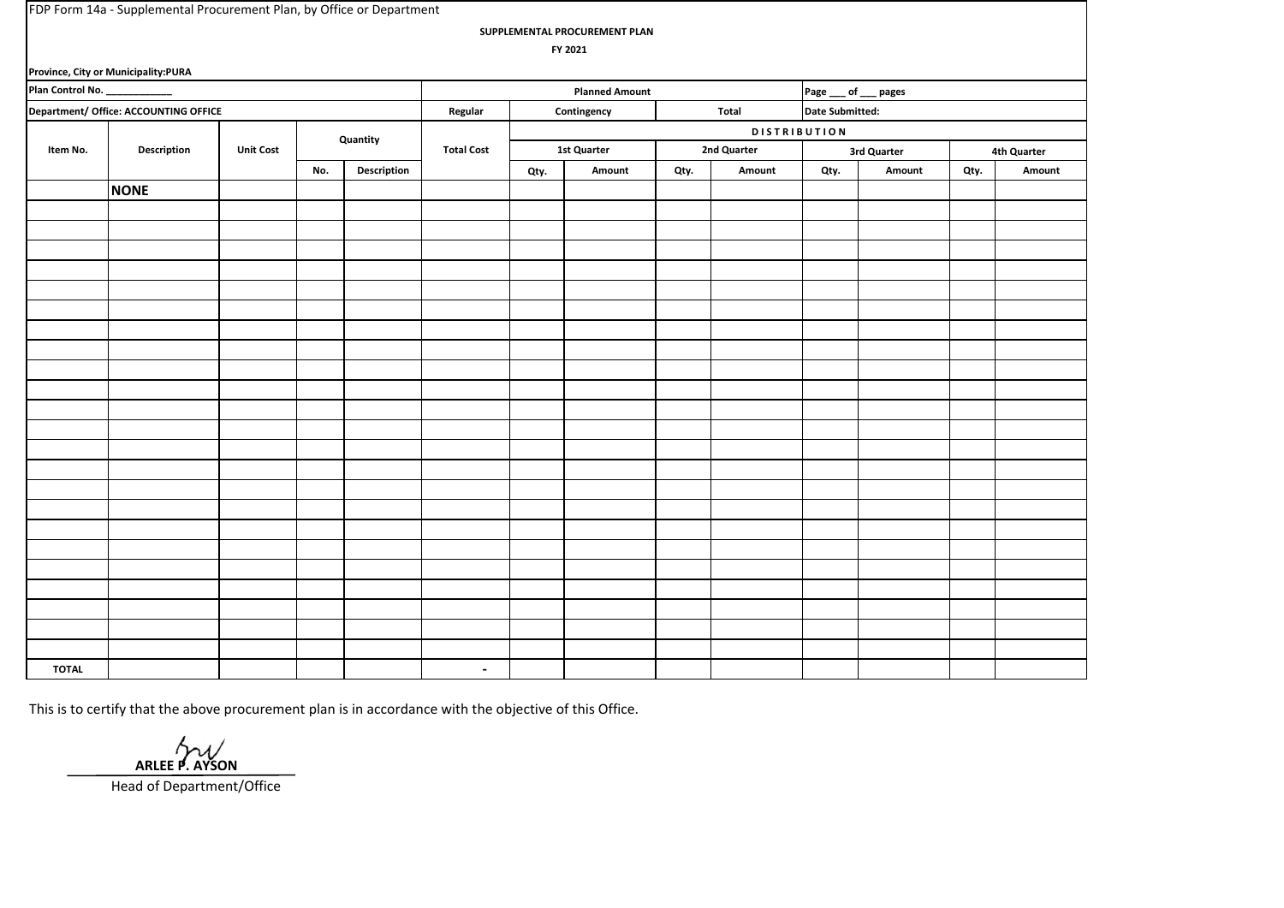| FDP Form 14a - Supplemental Procurement Plan, by Office or Department |                                       |                  |          |                     |                   |                      |                       |                       |                |             |                        |  |                |  |  |
|-----------------------------------------------------------------------|---------------------------------------|------------------|----------|---------------------|-------------------|----------------------|-----------------------|-----------------------|----------------|-------------|------------------------|--|----------------|--|--|
| SUPPLEMENTAL PROCUREMENT PLAN                                         |                                       |                  |          |                     |                   |                      |                       |                       |                |             |                        |  |                |  |  |
|                                                                       |                                       |                  |          |                     |                   |                      | FY 2021               |                       |                |             |                        |  |                |  |  |
|                                                                       | Province, City or Municipality:PURA   |                  |          |                     |                   |                      |                       |                       |                |             |                        |  |                |  |  |
| Plan Control No.                                                      |                                       |                  |          |                     |                   |                      | <b>Planned Amount</b> | Page ___ of ___ pages |                |             |                        |  |                |  |  |
|                                                                       | Department/ Office: ACCOUNTING OFFICE |                  |          |                     | Regular           | Contingency<br>Total |                       |                       |                |             | <b>Date Submitted:</b> |  |                |  |  |
|                                                                       |                                       |                  |          | <b>DISTRIBUTION</b> |                   |                      |                       |                       |                |             |                        |  |                |  |  |
| Item No.                                                              | Description                           | <b>Unit Cost</b> | Quantity |                     | <b>Total Cost</b> | 1st Quarter          |                       | 2nd Quarter           |                | 3rd Quarter |                        |  | 4th Quarter    |  |  |
|                                                                       |                                       |                  | No.      | Description         |                   |                      | Amount<br>Qty.        |                       | Qty.<br>Amount |             | Qty.<br>Amount         |  | Qty.<br>Amount |  |  |
|                                                                       | <b>NONE</b>                           |                  |          |                     |                   |                      |                       |                       |                |             |                        |  |                |  |  |
|                                                                       |                                       |                  |          |                     |                   |                      |                       |                       |                |             |                        |  |                |  |  |
|                                                                       |                                       |                  |          |                     |                   |                      |                       |                       |                |             |                        |  |                |  |  |
|                                                                       |                                       |                  |          |                     |                   |                      |                       |                       |                |             |                        |  |                |  |  |
|                                                                       |                                       |                  |          |                     |                   |                      |                       |                       |                |             |                        |  |                |  |  |
|                                                                       |                                       |                  |          |                     |                   |                      |                       |                       |                |             |                        |  |                |  |  |
|                                                                       |                                       |                  |          |                     |                   |                      |                       |                       |                |             |                        |  |                |  |  |
|                                                                       |                                       |                  |          |                     |                   |                      |                       |                       |                |             |                        |  |                |  |  |
|                                                                       |                                       |                  |          |                     |                   |                      |                       |                       |                |             |                        |  |                |  |  |
|                                                                       |                                       |                  |          |                     |                   |                      |                       |                       |                |             |                        |  |                |  |  |
|                                                                       |                                       |                  |          |                     |                   |                      |                       |                       |                |             |                        |  |                |  |  |
|                                                                       |                                       |                  |          |                     |                   |                      |                       |                       |                |             |                        |  |                |  |  |
|                                                                       |                                       |                  |          |                     |                   |                      |                       |                       |                |             |                        |  |                |  |  |
|                                                                       |                                       |                  |          |                     |                   |                      |                       |                       |                |             |                        |  |                |  |  |
|                                                                       |                                       |                  |          |                     |                   |                      |                       |                       |                |             |                        |  |                |  |  |
|                                                                       |                                       |                  |          |                     |                   |                      |                       |                       |                |             |                        |  |                |  |  |
|                                                                       |                                       |                  |          |                     |                   |                      |                       |                       |                |             |                        |  |                |  |  |
|                                                                       |                                       |                  |          |                     |                   |                      |                       |                       |                |             |                        |  |                |  |  |
|                                                                       |                                       |                  |          |                     |                   |                      |                       |                       |                |             |                        |  |                |  |  |
|                                                                       |                                       |                  |          |                     |                   |                      |                       |                       |                |             |                        |  |                |  |  |
|                                                                       |                                       |                  |          |                     |                   |                      |                       |                       |                |             |                        |  |                |  |  |
|                                                                       |                                       |                  |          |                     |                   |                      |                       |                       |                |             |                        |  |                |  |  |
|                                                                       |                                       |                  |          |                     |                   |                      |                       |                       |                |             |                        |  |                |  |  |
|                                                                       |                                       |                  |          |                     |                   |                      |                       |                       |                |             |                        |  |                |  |  |
| <b>TOTAL</b>                                                          |                                       |                  |          |                     | $\sim$            |                      |                       |                       |                |             |                        |  |                |  |  |

 **ARLEE P. AYSON**

Head of Department/Office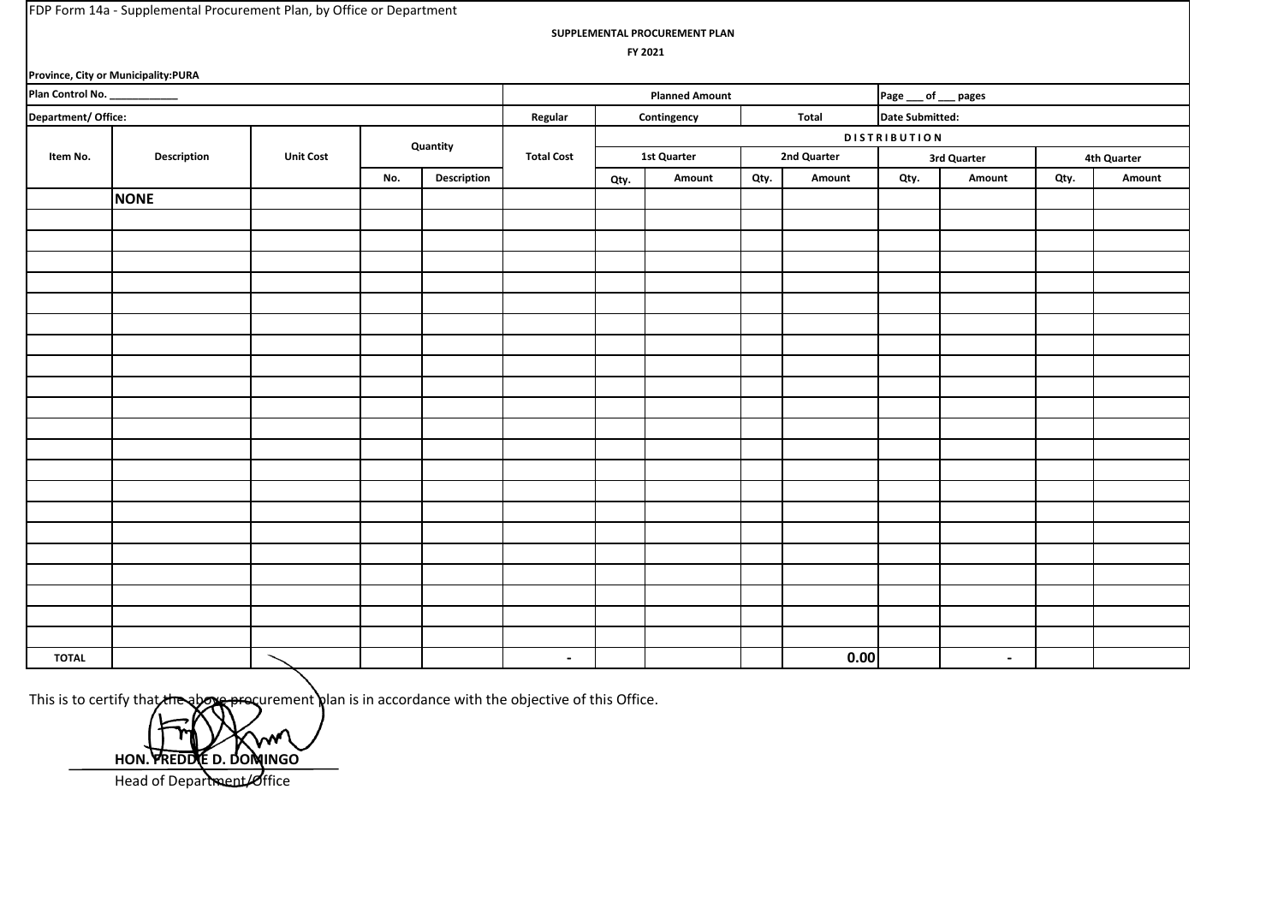| FDP Form 14a - Supplemental Procurement Plan, by Office or Department |  |
|-----------------------------------------------------------------------|--|
|-----------------------------------------------------------------------|--|

**SUPPLEMENTAL PROCUREMENT PLAN**

 **FY 2021**

| Province, City or Municipality:PURA |                       |                  |          |             |                   |                      |        |             |        |                 |                |             |        |  |
|-------------------------------------|-----------------------|------------------|----------|-------------|-------------------|----------------------|--------|-------------|--------|-----------------|----------------|-------------|--------|--|
| Plan Control No. ___________        | <b>Planned Amount</b> |                  |          |             |                   | Page __ of __ pages  |        |             |        |                 |                |             |        |  |
| Department/Office:                  |                       |                  |          |             | Regular           | Total<br>Contingency |        |             |        | Date Submitted: |                |             |        |  |
|                                     | <b>Description</b>    |                  | Quantity |             | <b>Total Cost</b> | <b>DISTRIBUTION</b>  |        |             |        |                 |                |             |        |  |
| Item No.                            |                       | <b>Unit Cost</b> |          |             |                   | <b>1st Quarter</b>   |        | 2nd Quarter |        | 3rd Quarter     |                | 4th Quarter |        |  |
|                                     |                       |                  | No.      | Description |                   | Qty.                 | Amount | Qty.        | Amount | Qty.            | Amount         | Qty.        | Amount |  |
|                                     | <b>NONE</b>           |                  |          |             |                   |                      |        |             |        |                 |                |             |        |  |
|                                     |                       |                  |          |             |                   |                      |        |             |        |                 |                |             |        |  |
|                                     |                       |                  |          |             |                   |                      |        |             |        |                 |                |             |        |  |
|                                     |                       |                  |          |             |                   |                      |        |             |        |                 |                |             |        |  |
|                                     |                       |                  |          |             |                   |                      |        |             |        |                 |                |             |        |  |
|                                     |                       |                  |          |             |                   |                      |        |             |        |                 |                |             |        |  |
|                                     |                       |                  |          |             |                   |                      |        |             |        |                 |                |             |        |  |
|                                     |                       |                  |          |             |                   |                      |        |             |        |                 |                |             |        |  |
|                                     |                       |                  |          |             |                   |                      |        |             |        |                 |                |             |        |  |
|                                     |                       |                  |          |             |                   |                      |        |             |        |                 |                |             |        |  |
|                                     |                       |                  |          |             |                   |                      |        |             |        |                 |                |             |        |  |
|                                     |                       |                  |          |             |                   |                      |        |             |        |                 |                |             |        |  |
|                                     |                       |                  |          |             |                   |                      |        |             |        |                 |                |             |        |  |
|                                     |                       |                  |          |             |                   |                      |        |             |        |                 |                |             |        |  |
|                                     |                       |                  |          |             |                   |                      |        |             |        |                 |                |             |        |  |
|                                     |                       |                  |          |             |                   |                      |        |             |        |                 |                |             |        |  |
|                                     |                       |                  |          |             |                   |                      |        |             |        |                 |                |             |        |  |
|                                     |                       |                  |          |             |                   |                      |        |             |        |                 |                |             |        |  |
|                                     |                       |                  |          |             |                   |                      |        |             |        |                 |                |             |        |  |
|                                     |                       |                  |          |             |                   |                      |        |             |        |                 |                |             |        |  |
|                                     |                       |                  |          |             |                   |                      |        |             |        |                 |                |             |        |  |
|                                     |                       |                  |          |             |                   |                      |        |             |        |                 |                |             |        |  |
| <b>TOTAL</b>                        |                       |                  |          |             | $\sim$            |                      |        |             | 0.00   |                 | $\blacksquare$ |             |        |  |
|                                     |                       |                  |          |             |                   |                      |        |             |        |                 |                |             |        |  |

**HON. FREDDIE D. DOMINGO** Head of Department/Office